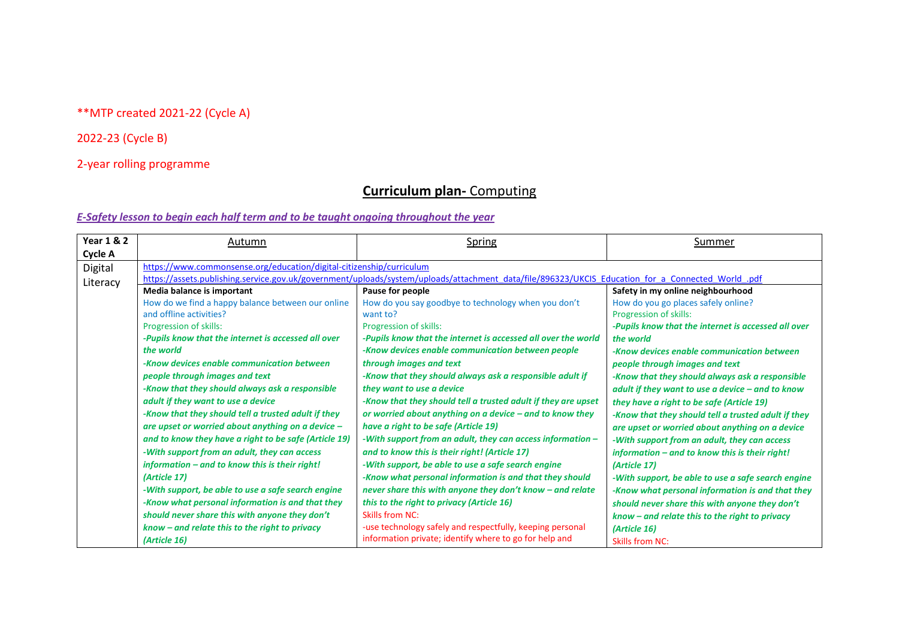## \*\*MTP created 2021-22 (Cycle A)

## 2022-23 (Cycle B)

## 2-year rolling programme

# **Curriculum plan-** Computing

| <b>Year 1 &amp; 2</b> | Autumn                                                               | <b>Spring</b>                                                                                                                                     | Summer                                              |
|-----------------------|----------------------------------------------------------------------|---------------------------------------------------------------------------------------------------------------------------------------------------|-----------------------------------------------------|
| Cycle A               |                                                                      |                                                                                                                                                   |                                                     |
| Digital               | https://www.commonsense.org/education/digital-citizenship/curriculum |                                                                                                                                                   |                                                     |
| Literacy              |                                                                      | https://assets.publishing.service.gov.uk/government/uploads/system/uploads/attachment data/file/896323/UKCIS Education for a Connected World .pdf |                                                     |
|                       | Media balance is important                                           | Pause for people                                                                                                                                  | Safety in my online neighbourhood                   |
|                       | How do we find a happy balance between our online                    | How do you say goodbye to technology when you don't                                                                                               | How do you go places safely online?                 |
|                       | and offline activities?                                              | want to?                                                                                                                                          | Progression of skills:                              |
|                       | Progression of skills:                                               | Progression of skills:                                                                                                                            | -Pupils know that the internet is accessed all over |
|                       | -Pupils know that the internet is accessed all over                  | -Pupils know that the internet is accessed all over the world                                                                                     | the world                                           |
|                       | the world                                                            | -Know devices enable communication between people                                                                                                 | -Know devices enable communication between          |
|                       | -Know devices enable communication between                           | through images and text                                                                                                                           | people through images and text                      |
|                       | people through images and text                                       | -Know that they should always ask a responsible adult if                                                                                          | -Know that they should always ask a responsible     |
|                       | -Know that they should always ask a responsible                      | they want to use a device                                                                                                                         | adult if they want to use a device $-$ and to know  |
|                       | adult if they want to use a device                                   | -Know that they should tell a trusted adult if they are upset                                                                                     | they have a right to be safe (Article 19)           |
|                       | -Know that they should tell a trusted adult if they                  | or worried about anything on a device $-$ and to know they                                                                                        | -Know that they should tell a trusted adult if they |
|                       | are upset or worried about anything on a device $-$                  | have a right to be safe (Article 19)                                                                                                              | are upset or worried about anything on a device     |
|                       | and to know they have a right to be safe (Article 19)                | -With support from an adult, they can access information -                                                                                        | -With support from an adult, they can access        |
|                       | -With support from an adult, they can access                         | and to know this is their right! (Article 17)                                                                                                     | information - and to know this is their right!      |
|                       | information - and to know this is their right!                       | -With support, be able to use a safe search engine                                                                                                | (Article 17)                                        |
|                       | (Article 17)                                                         | -Know what personal information is and that they should                                                                                           | -With support, be able to use a safe search engine  |
|                       | -With support, be able to use a safe search engine                   | never share this with anyone they don't know - and relate                                                                                         | -Know what personal information is and that they    |
|                       | -Know what personal information is and that they                     | this to the right to privacy (Article 16)                                                                                                         | should never share this with anyone they don't      |
|                       | should never share this with anyone they don't                       | <b>Skills from NC:</b>                                                                                                                            | $known - and relate this to the right to privacy$   |
|                       | know - and relate this to the right to privacy                       | -use technology safely and respectfully, keeping personal                                                                                         | (Article 16)                                        |
|                       | (Article 16)                                                         | information private; identify where to go for help and                                                                                            | <b>Skills from NC:</b>                              |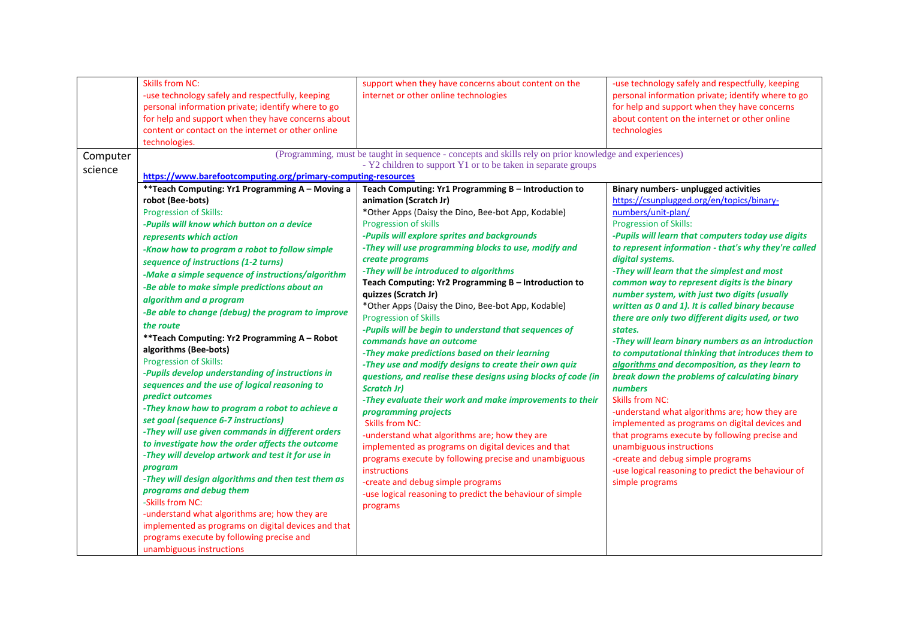| - Y2 children to support Y1 or to be taken in separate groups<br>https://www.barefootcomputing.org/primary-computing-resources<br>Teach Computing: Yr1 Programming B - Introduction to<br>animation (Scratch Jr)<br>*Other Apps (Daisy the Dino, Bee-bot App, Kodable)<br>Progression of skills<br>-Pupils will explore sprites and backgrounds<br>-They will use programming blocks to use, modify and<br>create programs                                                                                                                                                                                                                                                                                                                                                                                                                                             | <b>Binary numbers- unplugged activities</b><br>https://csunplugged.org/en/topics/binary-<br>numbers/unit-plan/<br>Progression of Skills:<br>-Pupils will learn that computers today use digits<br>to represent information - that's why they're called<br>digital systems.                                                                                                                                                                                                                                                                                                                                                                                                                                                                                        |
|------------------------------------------------------------------------------------------------------------------------------------------------------------------------------------------------------------------------------------------------------------------------------------------------------------------------------------------------------------------------------------------------------------------------------------------------------------------------------------------------------------------------------------------------------------------------------------------------------------------------------------------------------------------------------------------------------------------------------------------------------------------------------------------------------------------------------------------------------------------------|-------------------------------------------------------------------------------------------------------------------------------------------------------------------------------------------------------------------------------------------------------------------------------------------------------------------------------------------------------------------------------------------------------------------------------------------------------------------------------------------------------------------------------------------------------------------------------------------------------------------------------------------------------------------------------------------------------------------------------------------------------------------|
|                                                                                                                                                                                                                                                                                                                                                                                                                                                                                                                                                                                                                                                                                                                                                                                                                                                                        |                                                                                                                                                                                                                                                                                                                                                                                                                                                                                                                                                                                                                                                                                                                                                                   |
|                                                                                                                                                                                                                                                                                                                                                                                                                                                                                                                                                                                                                                                                                                                                                                                                                                                                        |                                                                                                                                                                                                                                                                                                                                                                                                                                                                                                                                                                                                                                                                                                                                                                   |
|                                                                                                                                                                                                                                                                                                                                                                                                                                                                                                                                                                                                                                                                                                                                                                                                                                                                        |                                                                                                                                                                                                                                                                                                                                                                                                                                                                                                                                                                                                                                                                                                                                                                   |
|                                                                                                                                                                                                                                                                                                                                                                                                                                                                                                                                                                                                                                                                                                                                                                                                                                                                        |                                                                                                                                                                                                                                                                                                                                                                                                                                                                                                                                                                                                                                                                                                                                                                   |
|                                                                                                                                                                                                                                                                                                                                                                                                                                                                                                                                                                                                                                                                                                                                                                                                                                                                        |                                                                                                                                                                                                                                                                                                                                                                                                                                                                                                                                                                                                                                                                                                                                                                   |
|                                                                                                                                                                                                                                                                                                                                                                                                                                                                                                                                                                                                                                                                                                                                                                                                                                                                        |                                                                                                                                                                                                                                                                                                                                                                                                                                                                                                                                                                                                                                                                                                                                                                   |
|                                                                                                                                                                                                                                                                                                                                                                                                                                                                                                                                                                                                                                                                                                                                                                                                                                                                        |                                                                                                                                                                                                                                                                                                                                                                                                                                                                                                                                                                                                                                                                                                                                                                   |
|                                                                                                                                                                                                                                                                                                                                                                                                                                                                                                                                                                                                                                                                                                                                                                                                                                                                        | -They will learn that the simplest and most                                                                                                                                                                                                                                                                                                                                                                                                                                                                                                                                                                                                                                                                                                                       |
| Teach Computing: Yr2 Programming B - Introduction to<br>quizzes (Scratch Jr)<br>*Other Apps (Daisy the Dino, Bee-bot App, Kodable)<br><b>Progression of Skills</b><br>-Pupils will be begin to understand that sequences of<br>commands have an outcome<br>-They make predictions based on their learning<br>-They use and modify designs to create their own quiz<br>questions, and realise these designs using blocks of code (in<br><b>Scratch Jr)</b><br>-They evaluate their work and make improvements to their<br>programming projects<br><b>Skills from NC:</b><br>-understand what algorithms are; how they are<br>implemented as programs on digital devices and that<br>programs execute by following precise and unambiguous<br>instructions<br>-create and debug simple programs<br>-use logical reasoning to predict the behaviour of simple<br>programs | common way to represent digits is the binary<br>number system, with just two digits (usually<br>written as 0 and 1). It is called binary because<br>there are only two different digits used, or two<br>states.<br>-They will learn binary numbers as an introduction<br>to computational thinking that introduces them to<br>algorithms and decomposition, as they learn to<br>break down the problems of calculating binary<br>numbers<br><b>Skills from NC:</b><br>-understand what algorithms are; how they are<br>implemented as programs on digital devices and<br>that programs execute by following precise and<br>unambiguous instructions<br>-create and debug simple programs<br>-use logical reasoning to predict the behaviour of<br>simple programs |
|                                                                                                                                                                                                                                                                                                                                                                                                                                                                                                                                                                                                                                                                                                                                                                                                                                                                        | -They will be introduced to algorithms                                                                                                                                                                                                                                                                                                                                                                                                                                                                                                                                                                                                                                                                                                                            |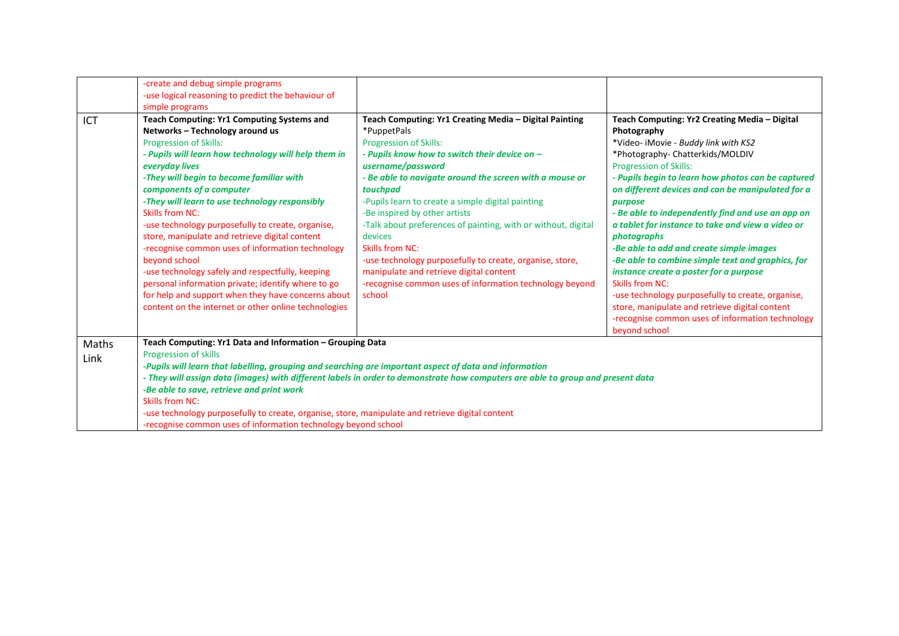|       | -create and debug simple programs                                                                      |                                                                                                                                 |                                                    |
|-------|--------------------------------------------------------------------------------------------------------|---------------------------------------------------------------------------------------------------------------------------------|----------------------------------------------------|
|       | -use logical reasoning to predict the behaviour of                                                     |                                                                                                                                 |                                                    |
|       | simple programs                                                                                        |                                                                                                                                 |                                                    |
| ICT   | Teach Computing: Yr1 Computing Systems and                                                             | Teach Computing: Yr1 Creating Media - Digital Painting                                                                          | Teach Computing: Yr2 Creating Media - Digital      |
|       | Networks - Technology around us                                                                        | *PuppetPals                                                                                                                     | Photography                                        |
|       | <b>Progression of Skills:</b>                                                                          | <b>Progression of Skills:</b>                                                                                                   | *Video- iMovie - Buddy link with KS2               |
|       | - Pupils will learn how technology will help them in                                                   | - Pupils know how to switch their device on -                                                                                   | *Photography- Chatterkids/MOLDIV                   |
|       | everyday lives                                                                                         | username/password                                                                                                               | <b>Progression of Skills:</b>                      |
|       | -They will begin to become familiar with                                                               | - Be able to navigate around the screen with a mouse or                                                                         | - Pupils begin to learn how photos can be captured |
|       | components of a computer                                                                               | touchpad                                                                                                                        | on different devices and can be manipulated for a  |
|       | -They will learn to use technology responsibly                                                         | -Pupils learn to create a simple digital painting                                                                               | purpose                                            |
|       | <b>Skills from NC:</b>                                                                                 | -Be inspired by other artists                                                                                                   | - Be able to independently find and use an app on  |
|       | -use technology purposefully to create, organise,                                                      | -Talk about preferences of painting, with or without, digital                                                                   | a tablet for instance to take and view a video or  |
|       | store, manipulate and retrieve digital content                                                         | devices                                                                                                                         | photographs                                        |
|       | -recognise common uses of information technology                                                       | Skills from NC:                                                                                                                 | -Be able to add and create simple images           |
|       | beyond school                                                                                          | -use technology purposefully to create, organise, store,                                                                        | -Be able to combine simple text and graphics, for  |
|       | -use technology safely and respectfully, keeping                                                       | manipulate and retrieve digital content                                                                                         | instance create a poster for a purpose             |
|       | personal information private; identify where to go                                                     | -recognise common uses of information technology beyond                                                                         | <b>Skills from NC:</b>                             |
|       | for help and support when they have concerns about                                                     | school                                                                                                                          | -use technology purposefully to create, organise,  |
|       | content on the internet or other online technologies                                                   |                                                                                                                                 | store, manipulate and retrieve digital content     |
|       |                                                                                                        |                                                                                                                                 | -recognise common uses of information technology   |
|       |                                                                                                        |                                                                                                                                 | beyond school                                      |
| Maths | Teach Computing: Yr1 Data and Information - Grouping Data                                              |                                                                                                                                 |                                                    |
| Link  | Progression of skills                                                                                  |                                                                                                                                 |                                                    |
|       | -Pupils will learn that labelling, grouping and searching are important aspect of data and information |                                                                                                                                 |                                                    |
|       |                                                                                                        | - They will assign data (images) with different labels in order to demonstrate how computers are able to group and present data |                                                    |
|       | -Be able to save, retrieve and print work                                                              |                                                                                                                                 |                                                    |
|       | Skills from NC:                                                                                        |                                                                                                                                 |                                                    |
|       | -use technology purposefully to create, organise, store, manipulate and retrieve digital content       |                                                                                                                                 |                                                    |
|       | -recognise common uses of information technology beyond school                                         |                                                                                                                                 |                                                    |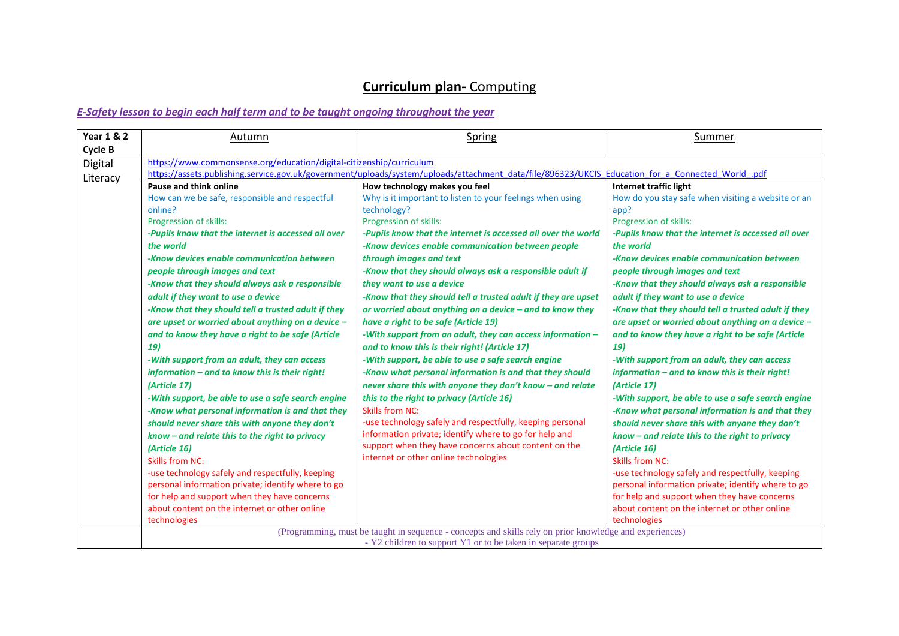| <b>Year 1 &amp; 2</b> | Autumn                                                                                                                                                                                                                                                                                                                                                                                                                                                                                                                                                                                                                                                                                                       | Spring                                                                                                                                                                                                                                                                                                                                                                                                                                                                                                                                                                                                                                                                                                                                                                                                                                                                                                                                    | Summer                                                                                                                                                                                                                                                                                                                                                                                                                                                                                                                                                                                                                                |
|-----------------------|--------------------------------------------------------------------------------------------------------------------------------------------------------------------------------------------------------------------------------------------------------------------------------------------------------------------------------------------------------------------------------------------------------------------------------------------------------------------------------------------------------------------------------------------------------------------------------------------------------------------------------------------------------------------------------------------------------------|-------------------------------------------------------------------------------------------------------------------------------------------------------------------------------------------------------------------------------------------------------------------------------------------------------------------------------------------------------------------------------------------------------------------------------------------------------------------------------------------------------------------------------------------------------------------------------------------------------------------------------------------------------------------------------------------------------------------------------------------------------------------------------------------------------------------------------------------------------------------------------------------------------------------------------------------|---------------------------------------------------------------------------------------------------------------------------------------------------------------------------------------------------------------------------------------------------------------------------------------------------------------------------------------------------------------------------------------------------------------------------------------------------------------------------------------------------------------------------------------------------------------------------------------------------------------------------------------|
| Cycle B               |                                                                                                                                                                                                                                                                                                                                                                                                                                                                                                                                                                                                                                                                                                              |                                                                                                                                                                                                                                                                                                                                                                                                                                                                                                                                                                                                                                                                                                                                                                                                                                                                                                                                           |                                                                                                                                                                                                                                                                                                                                                                                                                                                                                                                                                                                                                                       |
|                       |                                                                                                                                                                                                                                                                                                                                                                                                                                                                                                                                                                                                                                                                                                              |                                                                                                                                                                                                                                                                                                                                                                                                                                                                                                                                                                                                                                                                                                                                                                                                                                                                                                                                           |                                                                                                                                                                                                                                                                                                                                                                                                                                                                                                                                                                                                                                       |
| Digital<br>Literacy   | https://www.commonsense.org/education/digital-citizenship/curriculum<br>Pause and think online<br>How can we be safe, responsible and respectful<br>online?<br>Progression of skills:<br>-Pupils know that the internet is accessed all over<br>the world<br>-Know devices enable communication between<br>people through images and text<br>-Know that they should always ask a responsible<br>adult if they want to use a device<br>-Know that they should tell a trusted adult if they<br>are upset or worried about anything on a device -<br>and to know they have a right to be safe (Article<br>19)<br>-With support from an adult, they can access<br>information - and to know this is their right! | https://assets.publishing.service.gov.uk/government/uploads/system/uploads/attachment data/file/896323/UKCIS Education for a Connected World .pdf<br>How technology makes you feel<br>Why is it important to listen to your feelings when using<br>technology?<br>Progression of skills:<br>-Pupils know that the internet is accessed all over the world<br>-Know devices enable communication between people<br>through images and text<br>-Know that they should always ask a responsible adult if<br>they want to use a device<br>-Know that they should tell a trusted adult if they are upset<br>or worried about anything on a device $-$ and to know they<br>have a right to be safe (Article 19)<br>-With support from an adult, they can access information -<br>and to know this is their right! (Article 17)<br>-With support, be able to use a safe search engine<br>-Know what personal information is and that they should | Internet traffic light<br>How do you stay safe when visiting a website or an<br>app?<br>Progression of skills:<br>-Pupils know that the internet is accessed all over<br>the world<br>-Know devices enable communication between<br>people through images and text<br>-Know that they should always ask a responsible<br>adult if they want to use a device<br>-Know that they should tell a trusted adult if they<br>are upset or worried about anything on a device -<br>and to know they have a right to be safe (Article<br>19)<br>-With support from an adult, they can access<br>information - and to know this is their right! |
|                       | (Article 17)<br>-With support, be able to use a safe search engine<br>-Know what personal information is and that they<br>should never share this with anyone they don't<br>know - and relate this to the right to privacy<br>(Article 16)<br><b>Skills from NC:</b><br>-use technology safely and respectfully, keeping<br>personal information private; identify where to go<br>for help and support when they have concerns<br>about content on the internet or other online<br>technologies                                                                                                                                                                                                              | never share this with anyone they don't know - and relate<br>this to the right to privacy (Article 16)<br><b>Skills from NC:</b><br>-use technology safely and respectfully, keeping personal<br>information private; identify where to go for help and<br>support when they have concerns about content on the<br>internet or other online technologies<br>(Programming, must be taught in sequence - concepts and skills rely on prior knowledge and experiences)                                                                                                                                                                                                                                                                                                                                                                                                                                                                       | (Article 17)<br>-With support, be able to use a safe search engine<br>-Know what personal information is and that they<br>should never share this with anyone they don't<br>know - and relate this to the right to privacy<br>(Article 16)<br><b>Skills from NC:</b><br>-use technology safely and respectfully, keeping<br>personal information private; identify where to go<br>for help and support when they have concerns<br>about content on the internet or other online<br>technologies                                                                                                                                       |
|                       |                                                                                                                                                                                                                                                                                                                                                                                                                                                                                                                                                                                                                                                                                                              | - Y2 children to support Y1 or to be taken in separate groups                                                                                                                                                                                                                                                                                                                                                                                                                                                                                                                                                                                                                                                                                                                                                                                                                                                                             |                                                                                                                                                                                                                                                                                                                                                                                                                                                                                                                                                                                                                                       |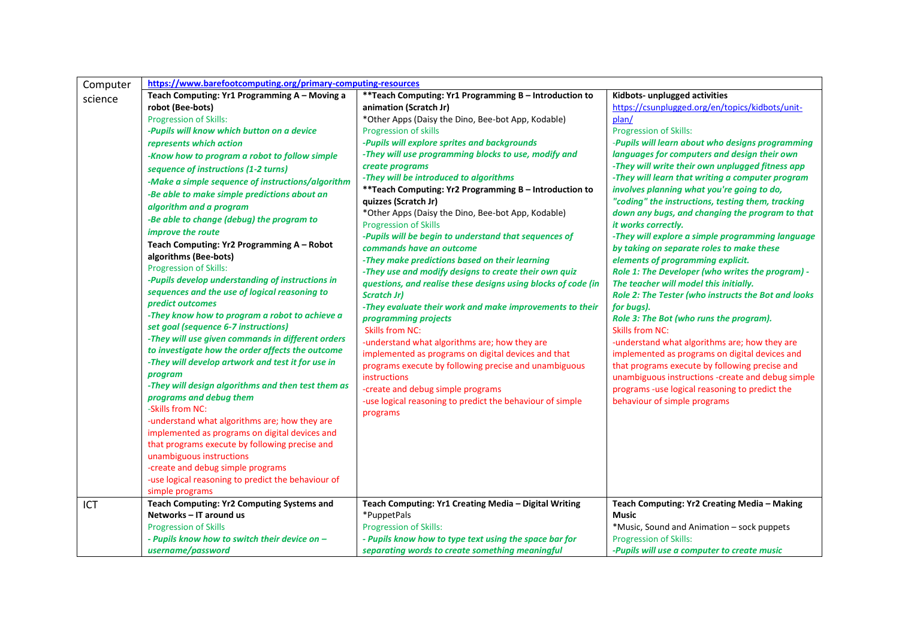| Computer | https://www.barefootcomputing.org/primary-computing-resources              |                                                               |                                                     |
|----------|----------------------------------------------------------------------------|---------------------------------------------------------------|-----------------------------------------------------|
| science  | Teach Computing: Yr1 Programming A - Moving a                              | ** Teach Computing: Yr1 Programming B - Introduction to       | Kidbots- unplugged activities                       |
|          | robot (Bee-bots)                                                           | animation (Scratch Jr)                                        | https://csunplugged.org/en/topics/kidbots/unit-     |
|          | Progression of Skills:                                                     | *Other Apps (Daisy the Dino, Bee-bot App, Kodable)            | plan/                                               |
|          | -Pupils will know which button on a device                                 | Progression of skills                                         | <b>Progression of Skills:</b>                       |
|          | represents which action                                                    | -Pupils will explore sprites and backgrounds                  | -Pupils will learn about who designs programming    |
|          | -Know how to program a robot to follow simple                              | -They will use programming blocks to use, modify and          | languages for computers and design their own        |
|          | sequence of instructions (1-2 turns)                                       | create programs                                               | -They will write their own unplugged fitness app    |
|          | -Make a simple sequence of instructions/algorithm                          | -They will be introduced to algorithms                        | -They will learn that writing a computer program    |
|          | -Be able to make simple predictions about an                               | ** Teach Computing: Yr2 Programming B - Introduction to       | involves planning what you're going to do,          |
|          | algorithm and a program                                                    | quizzes (Scratch Jr)                                          | "coding" the instructions, testing them, tracking   |
|          | -Be able to change (debug) the program to                                  | *Other Apps (Daisy the Dino, Bee-bot App, Kodable)            | down any bugs, and changing the program to that     |
|          | improve the route                                                          | <b>Progression of Skills</b>                                  | it works correctly.                                 |
|          |                                                                            | -Pupils will be begin to understand that sequences of         | -They will explore a simple programming language    |
|          | Teach Computing: Yr2 Programming A - Robot                                 | commands have an outcome                                      | by taking on separate roles to make these           |
|          | algorithms (Bee-bots)                                                      | -They make predictions based on their learning                | elements of programming explicit.                   |
|          | Progression of Skills:<br>-Pupils develop understanding of instructions in | -They use and modify designs to create their own quiz         | Role 1: The Developer (who writes the program) -    |
|          |                                                                            | questions, and realise these designs using blocks of code (in | The teacher will model this initially.              |
|          | sequences and the use of logical reasoning to<br>predict outcomes          | <b>Scratch Jr)</b>                                            | Role 2: The Tester (who instructs the Bot and looks |
|          | -They know how to program a robot to achieve a                             | -They evaluate their work and make improvements to their      | for bugs).                                          |
|          | set goal (sequence 6-7 instructions)                                       | programming projects                                          | Role 3: The Bot (who runs the program).             |
|          | -They will use given commands in different orders                          | <b>Skills from NC:</b>                                        | Skills from NC:                                     |
|          | to investigate how the order affects the outcome                           | -understand what algorithms are; how they are                 | -understand what algorithms are; how they are       |
|          | -They will develop artwork and test it for use in                          | implemented as programs on digital devices and that           | implemented as programs on digital devices and      |
|          | program                                                                    | programs execute by following precise and unambiguous         | that programs execute by following precise and      |
|          | -They will design algorithms and then test them as                         | instructions                                                  | unambiguous instructions -create and debug simple   |
|          | programs and debug them                                                    | -create and debug simple programs                             | programs -use logical reasoning to predict the      |
|          | -Skills from NC:                                                           | -use logical reasoning to predict the behaviour of simple     | behaviour of simple programs                        |
|          | -understand what algorithms are; how they are                              | programs                                                      |                                                     |
|          | implemented as programs on digital devices and                             |                                                               |                                                     |
|          | that programs execute by following precise and                             |                                                               |                                                     |
|          | unambiguous instructions                                                   |                                                               |                                                     |
|          | -create and debug simple programs                                          |                                                               |                                                     |
|          | -use logical reasoning to predict the behaviour of                         |                                                               |                                                     |
|          | simple programs                                                            |                                                               |                                                     |
| ICT      | <b>Teach Computing: Yr2 Computing Systems and</b>                          | Teach Computing: Yr1 Creating Media - Digital Writing         | Teach Computing: Yr2 Creating Media - Making        |
|          | Networks - IT around us                                                    | *PuppetPals                                                   | <b>Music</b>                                        |
|          | <b>Progression of Skills</b>                                               | <b>Progression of Skills:</b>                                 | *Music, Sound and Animation – sock puppets          |
|          | - Pupils know how to switch their device on -                              | - Pupils know how to type text using the space bar for        | <b>Progression of Skills:</b>                       |
|          | username/password                                                          | separating words to create something meaningful               | -Pupils will use a computer to create music         |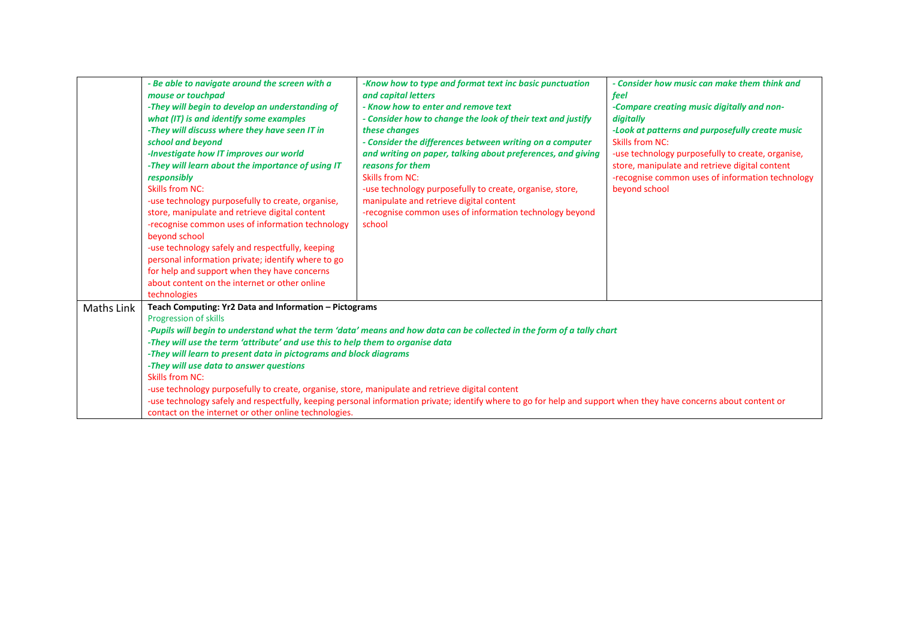|            | - Be able to navigate around the screen with a<br>mouse or touchpad<br>-They will begin to develop an understanding of<br>what (IT) is and identify some examples<br>-They will discuss where they have seen IT in<br>school and beyond<br>-Investigate how IT improves our world<br>-They will learn about the importance of using IT<br>responsibly<br><b>Skills from NC:</b><br>-use technology purposefully to create, organise,<br>store, manipulate and retrieve digital content<br>-recognise common uses of information technology<br>beyond school<br>-use technology safely and respectfully, keeping<br>personal information private; identify where to go<br>for help and support when they have concerns<br>about content on the internet or other online | -Know how to type and format text inc basic punctuation<br>and capital letters<br>- Know how to enter and remove text<br>- Consider how to change the look of their text and justify<br>these changes<br>- Consider the differences between writing on a computer<br>and writing on paper, talking about preferences, and giving<br>reasons for them<br>Skills from NC:<br>-use technology purposefully to create, organise, store,<br>manipulate and retrieve digital content<br>-recognise common uses of information technology beyond<br>school | - Consider how music can make them think and<br>feel<br>-Compare creating music digitally and non-<br>digitally<br>-Look at patterns and purposefully create music<br><b>Skills from NC:</b><br>-use technology purposefully to create, organise,<br>store, manipulate and retrieve digital content<br>-recognise common uses of information technology<br>beyond school |
|------------|------------------------------------------------------------------------------------------------------------------------------------------------------------------------------------------------------------------------------------------------------------------------------------------------------------------------------------------------------------------------------------------------------------------------------------------------------------------------------------------------------------------------------------------------------------------------------------------------------------------------------------------------------------------------------------------------------------------------------------------------------------------------|-----------------------------------------------------------------------------------------------------------------------------------------------------------------------------------------------------------------------------------------------------------------------------------------------------------------------------------------------------------------------------------------------------------------------------------------------------------------------------------------------------------------------------------------------------|--------------------------------------------------------------------------------------------------------------------------------------------------------------------------------------------------------------------------------------------------------------------------------------------------------------------------------------------------------------------------|
| Maths Link | technologies<br>Teach Computing: Yr2 Data and Information - Pictograms<br><b>Progression of skills</b><br>-They will use the term 'attribute' and use this to help them to organise data<br>-They will learn to present data in pictograms and block diagrams<br>-They will use data to answer questions<br>Skills from NC:<br>-use technology purposefully to create, organise, store, manipulate and retrieve digital content                                                                                                                                                                                                                                                                                                                                        | -Pupils will begin to understand what the term 'data' means and how data can be collected in the form of a tally chart<br>-use technology safely and respectfully, keeping personal information private; identify where to go for help and support when they have concerns about content or                                                                                                                                                                                                                                                         |                                                                                                                                                                                                                                                                                                                                                                          |
|            | contact on the internet or other online technologies.                                                                                                                                                                                                                                                                                                                                                                                                                                                                                                                                                                                                                                                                                                                  |                                                                                                                                                                                                                                                                                                                                                                                                                                                                                                                                                     |                                                                                                                                                                                                                                                                                                                                                                          |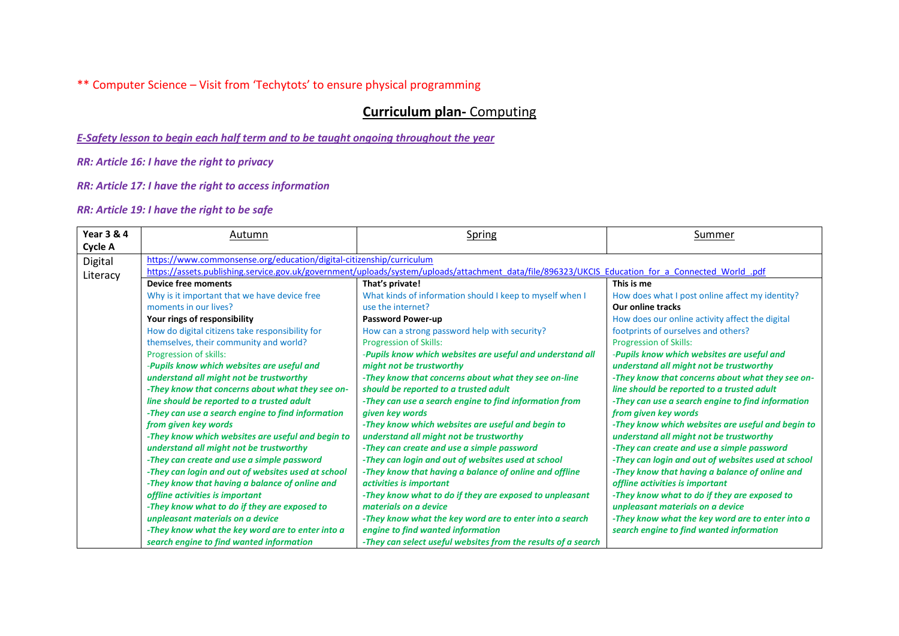\*\* Computer Science – Visit from 'Techytots' to ensure physical programming

# **Curriculum plan-** Computing

*E-Safety lesson to begin each half term and to be taught ongoing throughout the year*

*RR: Article 16: I have the right to privacy*

*RR: Article 17: I have the right to access information*

| <b>Year 3 &amp; 4</b> | Autumn                                                                                                                                            | Spring                                                        | <b>Summer</b>                                      |  |
|-----------------------|---------------------------------------------------------------------------------------------------------------------------------------------------|---------------------------------------------------------------|----------------------------------------------------|--|
| Cycle A               |                                                                                                                                                   |                                                               |                                                    |  |
| Digital               | https://www.commonsense.org/education/digital-citizenship/curriculum                                                                              |                                                               |                                                    |  |
| Literacy              | https://assets.publishing.service.gov.uk/government/uploads/system/uploads/attachment_data/file/896323/UKCIS_Education_for_a_Connected_World_.pdf |                                                               |                                                    |  |
|                       | <b>Device free moments</b>                                                                                                                        | That's private!                                               | This is me                                         |  |
|                       | Why is it important that we have device free                                                                                                      | What kinds of information should I keep to myself when I      | How does what I post online affect my identity?    |  |
|                       | moments in our lives?                                                                                                                             | use the internet?                                             | <b>Our online tracks</b>                           |  |
|                       | Your rings of responsibility                                                                                                                      | <b>Password Power-up</b>                                      | How does our online activity affect the digital    |  |
|                       | How do digital citizens take responsibility for                                                                                                   | How can a strong password help with security?                 | footprints of ourselves and others?                |  |
|                       | themselves, their community and world?                                                                                                            | <b>Progression of Skills:</b>                                 | <b>Progression of Skills:</b>                      |  |
|                       | Progression of skills:                                                                                                                            | -Pupils know which websites are useful and understand all     | -Pupils know which websites are useful and         |  |
|                       | -Pupils know which websites are useful and                                                                                                        | might not be trustworthy                                      | understand all might not be trustworthy            |  |
|                       | understand all might not be trustworthy                                                                                                           | -They know that concerns about what they see on-line          | -They know that concerns about what they see on-   |  |
|                       | -They know that concerns about what they see on-                                                                                                  | should be reported to a trusted adult                         | line should be reported to a trusted adult         |  |
|                       | line should be reported to a trusted adult                                                                                                        | -They can use a search engine to find information from        | -They can use a search engine to find information  |  |
|                       | -They can use a search engine to find information                                                                                                 | given key words                                               | from given key words                               |  |
|                       | from given key words                                                                                                                              | -They know which websites are useful and begin to             | -They know which websites are useful and begin to  |  |
|                       | -They know which websites are useful and begin to                                                                                                 | understand all might not be trustworthy                       | understand all might not be trustworthy            |  |
|                       | understand all might not be trustworthy                                                                                                           | -They can create and use a simple password                    | -They can create and use a simple password         |  |
|                       | -They can create and use a simple password                                                                                                        | -They can login and out of websites used at school            | -They can login and out of websites used at school |  |
|                       | -They can login and out of websites used at school                                                                                                | -They know that having a balance of online and offline        | -They know that having a balance of online and     |  |
|                       | -They know that having a balance of online and                                                                                                    | activities is important                                       | offline activities is important                    |  |
|                       | offline activities is important                                                                                                                   | -They know what to do if they are exposed to unpleasant       | -They know what to do if they are exposed to       |  |
|                       | -They know what to do if they are exposed to                                                                                                      | materials on a device                                         | unpleasant materials on a device                   |  |
|                       | unpleasant materials on a device                                                                                                                  | -They know what the key word are to enter into a search       | -They know what the key word are to enter into a   |  |
|                       | -They know what the key word are to enter into a                                                                                                  | engine to find wanted information                             | search engine to find wanted information           |  |
|                       | search engine to find wanted information                                                                                                          | -They can select useful websites from the results of a search |                                                    |  |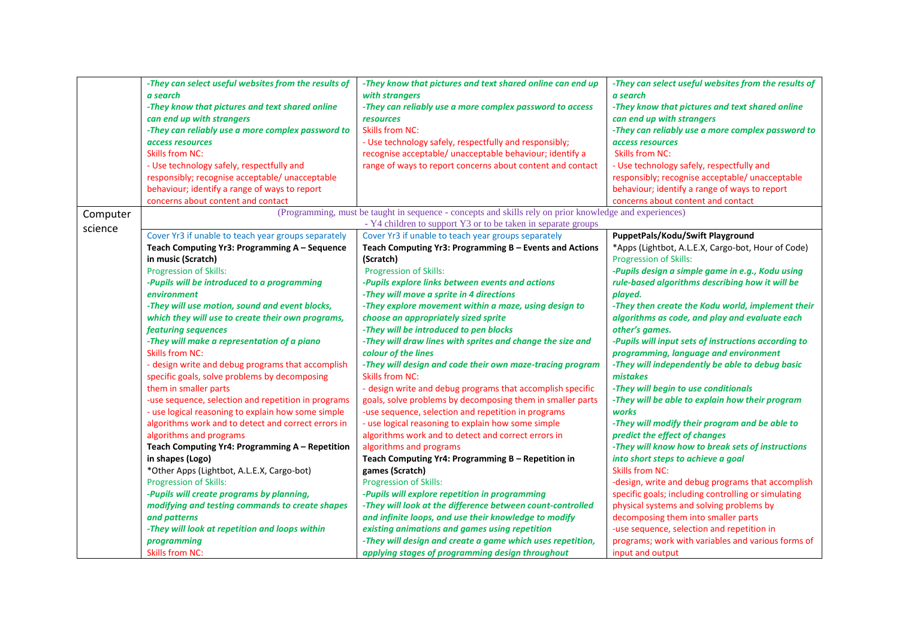|          | -They can select useful websites from the results of | -They know that pictures and text shared online can end up                                              | -They can select useful websites from the results of |
|----------|------------------------------------------------------|---------------------------------------------------------------------------------------------------------|------------------------------------------------------|
|          | a search                                             | with strangers                                                                                          | a search                                             |
|          | -They know that pictures and text shared online      | -They can reliably use a more complex password to access                                                | -They know that pictures and text shared online      |
|          | can end up with strangers                            | <b>resources</b>                                                                                        | can end up with strangers                            |
|          | -They can reliably use a more complex password to    | <b>Skills from NC:</b>                                                                                  | -They can reliably use a more complex password to    |
|          | access resources                                     | - Use technology safely, respectfully and responsibly;                                                  | access resources                                     |
|          | <b>Skills from NC:</b>                               | recognise acceptable/ unacceptable behaviour; identify a                                                | <b>Skills from NC:</b>                               |
|          | - Use technology safely, respectfully and            | range of ways to report concerns about content and contact                                              | - Use technology safely, respectfully and            |
|          | responsibly; recognise acceptable/ unacceptable      |                                                                                                         | responsibly; recognise acceptable/ unacceptable      |
|          | behaviour; identify a range of ways to report        |                                                                                                         | behaviour; identify a range of ways to report        |
|          | concerns about content and contact                   |                                                                                                         | concerns about content and contact                   |
| Computer |                                                      | (Programming, must be taught in sequence - concepts and skills rely on prior knowledge and experiences) |                                                      |
| science  |                                                      | - Y4 children to support Y3 or to be taken in separate groups                                           |                                                      |
|          | Cover Yr3 if unable to teach year groups separately  | Cover Yr3 if unable to teach year groups separately                                                     | PuppetPals/Kodu/Swift Playground                     |
|          | Teach Computing Yr3: Programming A - Sequence        | Teach Computing Yr3: Programming B - Events and Actions                                                 | *Apps (Lightbot, A.L.E.X, Cargo-bot, Hour of Code)   |
|          | in music (Scratch)                                   | (Scratch)                                                                                               | Progression of Skills:                               |
|          | <b>Progression of Skills:</b>                        | <b>Progression of Skills:</b>                                                                           | -Pupils design a simple game in e.g., Kodu using     |
|          | -Pupils will be introduced to a programming          | -Pupils explore links between events and actions                                                        | rule-based algorithms describing how it will be      |
|          | environment                                          | -They will move a sprite in 4 directions                                                                | played.                                              |
|          | -They will use motion, sound and event blocks,       | -They explore movement within a maze, using design to                                                   | -They then create the Kodu world, implement their    |
|          | which they will use to create their own programs,    | choose an appropriately sized sprite                                                                    | algorithms as code, and play and evaluate each       |
|          | featuring sequences                                  | -They will be introduced to pen blocks                                                                  | other's games.                                       |
|          | -They will make a representation of a piano          | -They will draw lines with sprites and change the size and                                              | -Pupils will input sets of instructions according to |
|          | <b>Skills from NC:</b>                               | colour of the lines                                                                                     | programming, language and environment                |
|          | - design write and debug programs that accomplish    | -They will design and code their own maze-tracing program                                               | -They will independently be able to debug basic      |
|          | specific goals, solve problems by decomposing        | <b>Skills from NC:</b>                                                                                  | mistakes                                             |
|          | them in smaller parts                                | - design write and debug programs that accomplish specific                                              | -They will begin to use conditionals                 |
|          | -use sequence, selection and repetition in programs  | goals, solve problems by decomposing them in smaller parts                                              | -They will be able to explain how their program      |
|          | - use logical reasoning to explain how some simple   | -use sequence, selection and repetition in programs                                                     | works                                                |
|          | algorithms work and to detect and correct errors in  | - use logical reasoning to explain how some simple                                                      | -They will modify their program and be able to       |
|          | algorithms and programs                              | algorithms work and to detect and correct errors in                                                     | predict the effect of changes                        |
|          | Teach Computing Yr4: Programming A - Repetition      | algorithms and programs                                                                                 | -They will know how to break sets of instructions    |
|          | in shapes (Logo)                                     | Teach Computing Yr4: Programming B - Repetition in                                                      | into short steps to achieve a goal                   |
|          | *Other Apps (Lightbot, A.L.E.X, Cargo-bot)           | games (Scratch)                                                                                         | <b>Skills from NC:</b>                               |
|          | <b>Progression of Skills:</b>                        | <b>Progression of Skills:</b>                                                                           | -design, write and debug programs that accomplish    |
|          | -Pupils will create programs by planning,            | -Pupils will explore repetition in programming                                                          | specific goals; including controlling or simulating  |
|          | modifying and testing commands to create shapes      | -They will look at the difference between count-controlled                                              | physical systems and solving problems by             |
|          | and patterns                                         | and infinite loops, and use their knowledge to modify                                                   | decomposing them into smaller parts                  |
|          | -They will look at repetition and loops within       | existing animations and games using repetition                                                          | -use sequence, selection and repetition in           |
|          | programming                                          | -They will design and create a game which uses repetition,                                              | programs; work with variables and various forms of   |
|          | <b>Skills from NC:</b>                               | applying stages of programming design throughout                                                        | input and output                                     |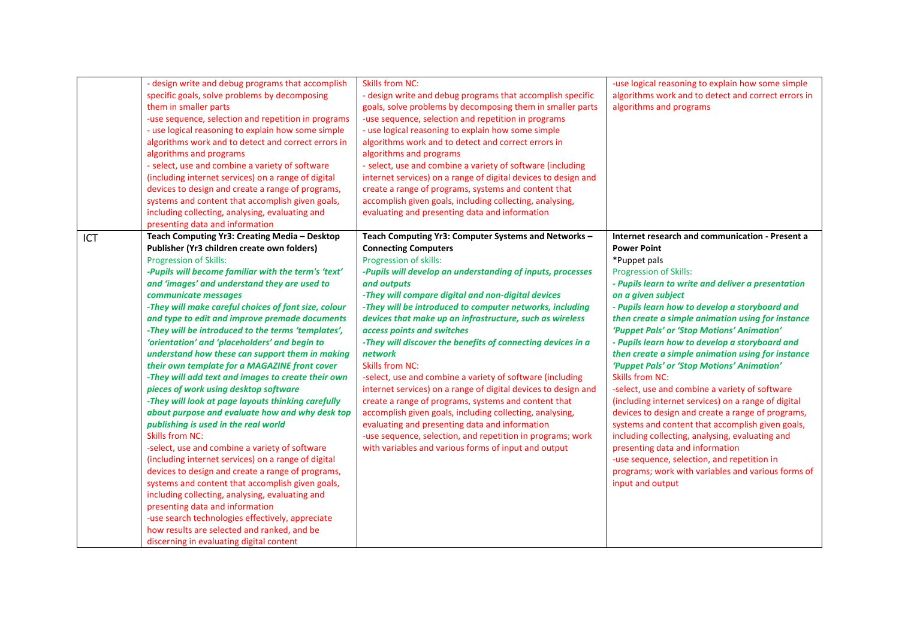| - design write and debug programs that accomplish<br>specific goals, solve problems by decomposing<br>them in smaller parts<br>-use sequence, selection and repetition in programs<br>- use logical reasoning to explain how some simple<br>algorithms work and to detect and correct errors in<br>algorithms and programs<br>- select, use and combine a variety of software<br>(including internet services) on a range of digital<br>devices to design and create a range of programs,<br>systems and content that accomplish given goals,<br>including collecting, analysing, evaluating and<br>presenting data and information                                                                                                                                                                                                                                                                                                                                                                                                                                                                                                                                                                                                                                                                                       | <b>Skills from NC:</b><br>- design write and debug programs that accomplish specific<br>goals, solve problems by decomposing them in smaller parts<br>-use sequence, selection and repetition in programs<br>- use logical reasoning to explain how some simple<br>algorithms work and to detect and correct errors in<br>algorithms and programs<br>- select, use and combine a variety of software (including<br>internet services) on a range of digital devices to design and<br>create a range of programs, systems and content that<br>accomplish given goals, including collecting, analysing,<br>evaluating and presenting data and information                                                                                                                                                                                                                                                                               | -use logical reasoning to explain how some simple<br>algorithms work and to detect and correct errors in<br>algorithms and programs                                                                                                                                                                                                                                                                                                                                                                                                                                                                                                                                                                                                                                                                                                                                                                                                                              |
|---------------------------------------------------------------------------------------------------------------------------------------------------------------------------------------------------------------------------------------------------------------------------------------------------------------------------------------------------------------------------------------------------------------------------------------------------------------------------------------------------------------------------------------------------------------------------------------------------------------------------------------------------------------------------------------------------------------------------------------------------------------------------------------------------------------------------------------------------------------------------------------------------------------------------------------------------------------------------------------------------------------------------------------------------------------------------------------------------------------------------------------------------------------------------------------------------------------------------------------------------------------------------------------------------------------------------|---------------------------------------------------------------------------------------------------------------------------------------------------------------------------------------------------------------------------------------------------------------------------------------------------------------------------------------------------------------------------------------------------------------------------------------------------------------------------------------------------------------------------------------------------------------------------------------------------------------------------------------------------------------------------------------------------------------------------------------------------------------------------------------------------------------------------------------------------------------------------------------------------------------------------------------|------------------------------------------------------------------------------------------------------------------------------------------------------------------------------------------------------------------------------------------------------------------------------------------------------------------------------------------------------------------------------------------------------------------------------------------------------------------------------------------------------------------------------------------------------------------------------------------------------------------------------------------------------------------------------------------------------------------------------------------------------------------------------------------------------------------------------------------------------------------------------------------------------------------------------------------------------------------|
| Teach Computing Yr3: Creating Media - Desktop<br>ICT<br>Publisher (Yr3 children create own folders)<br><b>Progression of Skills:</b><br>-Pupils will become familiar with the term's 'text'<br>and 'images' and understand they are used to<br>communicate messages<br>-They will make careful choices of font size, colour<br>and type to edit and improve premade documents<br>-They will be introduced to the terms 'templates',<br>'orientation' and 'placeholders' and begin to<br>understand how these can support them in making<br>their own template for a MAGAZINE front cover<br>-They will add text and images to create their own<br>pieces of work using desktop software<br>-They will look at page layouts thinking carefully<br>about purpose and evaluate how and why desk top<br>publishing is used in the real world<br><b>Skills from NC:</b><br>-select, use and combine a variety of software<br>(including internet services) on a range of digital<br>devices to design and create a range of programs,<br>systems and content that accomplish given goals,<br>including collecting, analysing, evaluating and<br>presenting data and information<br>-use search technologies effectively, appreciate<br>how results are selected and ranked, and be<br>discerning in evaluating digital content | Teach Computing Yr3: Computer Systems and Networks -<br><b>Connecting Computers</b><br>Progression of skills:<br>-Pupils will develop an understanding of inputs, processes<br>and outputs<br>-They will compare digital and non-digital devices<br>-They will be introduced to computer networks, including<br>devices that make up an infrastructure, such as wireless<br>access points and switches<br>-They will discover the benefits of connecting devices in a<br>network<br><b>Skills from NC:</b><br>-select, use and combine a variety of software (including<br>internet services) on a range of digital devices to design and<br>create a range of programs, systems and content that<br>accomplish given goals, including collecting, analysing,<br>evaluating and presenting data and information<br>-use sequence, selection, and repetition in programs; work<br>with variables and various forms of input and output | Internet research and communication - Present a<br><b>Power Point</b><br>*Puppet pals<br>Progression of Skills:<br>- Pupils learn to write and deliver a presentation<br>on a given subject<br>- Pupils learn how to develop a storyboard and<br>then create a simple animation using for instance<br>'Puppet Pals' or 'Stop Motions' Animation'<br>- Pupils learn how to develop a storyboard and<br>then create a simple animation using for instance<br>'Puppet Pals' or 'Stop Motions' Animation'<br><b>Skills from NC:</b><br>-select, use and combine a variety of software<br>(including internet services) on a range of digital<br>devices to design and create a range of programs,<br>systems and content that accomplish given goals,<br>including collecting, analysing, evaluating and<br>presenting data and information<br>-use sequence, selection, and repetition in<br>programs; work with variables and various forms of<br>input and output |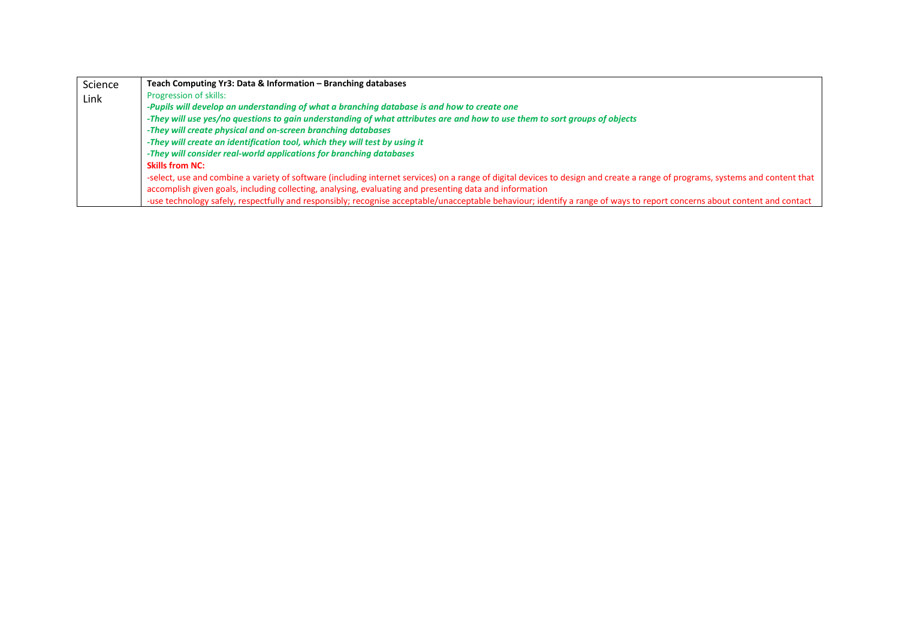| Science | Teach Computing Yr3: Data & Information - Branching databases                                                                                                                 |
|---------|-------------------------------------------------------------------------------------------------------------------------------------------------------------------------------|
| Link    | <b>Progression of skills:</b>                                                                                                                                                 |
|         | -Pupils will develop an understanding of what a branching database is and how to create one                                                                                   |
|         | -They will use yes/no questions to gain understanding of what attributes are and how to use them to sort groups of objects                                                    |
|         | -They will create physical and on-screen branching databases                                                                                                                  |
|         | -They will create an identification tool, which they will test by using it                                                                                                    |
|         | -They will consider real-world applications for branching databases                                                                                                           |
|         | <b>Skills from NC:</b>                                                                                                                                                        |
|         | -select, use and combine a variety of software (including internet services) on a range of digital devices to design and create a range of programs, systems and content that |
|         | accomplish given goals, including collecting, analysing, evaluating and presenting data and information                                                                       |
|         | -use technology safely, respectfully and responsibly; recognise acceptable/unacceptable behaviour; identify a range of ways to report concerns about content and contact      |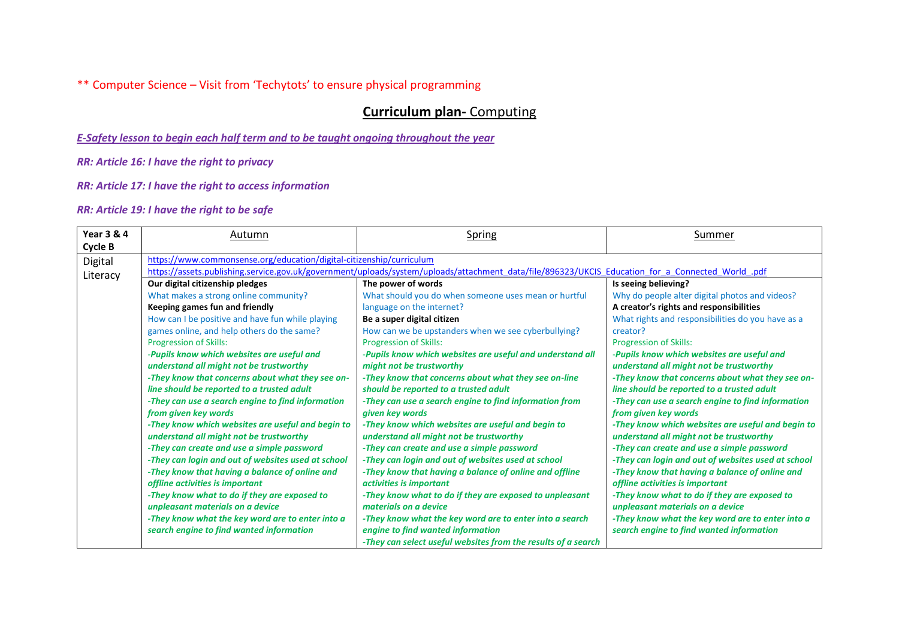\*\* Computer Science – Visit from 'Techytots' to ensure physical programming

# **Curriculum plan-** Computing

*E-Safety lesson to begin each half term and to be taught ongoing throughout the year*

*RR: Article 16: I have the right to privacy*

*RR: Article 17: I have the right to access information*

| <b>Year 3 &amp; 4</b> | Autumn                                                                                                                                            | Spring                                                        | Summer                                             |
|-----------------------|---------------------------------------------------------------------------------------------------------------------------------------------------|---------------------------------------------------------------|----------------------------------------------------|
| Cycle B               |                                                                                                                                                   |                                                               |                                                    |
| Digital               | https://www.commonsense.org/education/digital-citizenship/curriculum                                                                              |                                                               |                                                    |
| Literacy              | https://assets.publishing.service.gov.uk/government/uploads/system/uploads/attachment data/file/896323/UKCIS Education for a Connected World .pdf |                                                               |                                                    |
|                       | Our digital citizenship pledges                                                                                                                   | The power of words                                            | Is seeing believing?                               |
|                       | What makes a strong online community?                                                                                                             | What should you do when someone uses mean or hurtful          | Why do people alter digital photos and videos?     |
|                       | Keeping games fun and friendly                                                                                                                    | language on the internet?                                     | A creator's rights and responsibilities            |
|                       | How can I be positive and have fun while playing                                                                                                  | Be a super digital citizen                                    | What rights and responsibilities do you have as a  |
|                       | games online, and help others do the same?                                                                                                        | How can we be upstanders when we see cyberbullying?           | creator?                                           |
|                       | <b>Progression of Skills:</b>                                                                                                                     | <b>Progression of Skills:</b>                                 | <b>Progression of Skills:</b>                      |
|                       | -Pupils know which websites are useful and                                                                                                        | -Pupils know which websites are useful and understand all     | -Pupils know which websites are useful and         |
|                       | understand all might not be trustworthy                                                                                                           | might not be trustworthy                                      | understand all might not be trustworthy            |
|                       | -They know that concerns about what they see on-                                                                                                  | -They know that concerns about what they see on-line          | -They know that concerns about what they see on-   |
|                       | line should be reported to a trusted adult                                                                                                        | should be reported to a trusted adult                         | line should be reported to a trusted adult         |
|                       | -They can use a search engine to find information                                                                                                 | -They can use a search engine to find information from        | -They can use a search engine to find information  |
|                       | from given key words                                                                                                                              | given key words                                               | from given key words                               |
|                       | -They know which websites are useful and begin to                                                                                                 | -They know which websites are useful and begin to             | -They know which websites are useful and begin to  |
|                       | understand all might not be trustworthy                                                                                                           | understand all might not be trustworthy                       | understand all might not be trustworthy            |
|                       | -They can create and use a simple password                                                                                                        | -They can create and use a simple password                    | -They can create and use a simple password         |
|                       | -They can login and out of websites used at school                                                                                                | -They can login and out of websites used at school            | -They can login and out of websites used at school |
|                       | -They know that having a balance of online and                                                                                                    | -They know that having a balance of online and offline        | -They know that having a balance of online and     |
|                       | offline activities is important                                                                                                                   | activities is important                                       | offline activities is important                    |
|                       | -They know what to do if they are exposed to                                                                                                      | -They know what to do if they are exposed to unpleasant       | -They know what to do if they are exposed to       |
|                       | unpleasant materials on a device                                                                                                                  | materials on a device                                         | unpleasant materials on a device                   |
|                       | -They know what the key word are to enter into a                                                                                                  | -They know what the key word are to enter into a search       | -They know what the key word are to enter into a   |
|                       | search engine to find wanted information                                                                                                          | engine to find wanted information                             | search engine to find wanted information           |
|                       |                                                                                                                                                   | -They can select useful websites from the results of a search |                                                    |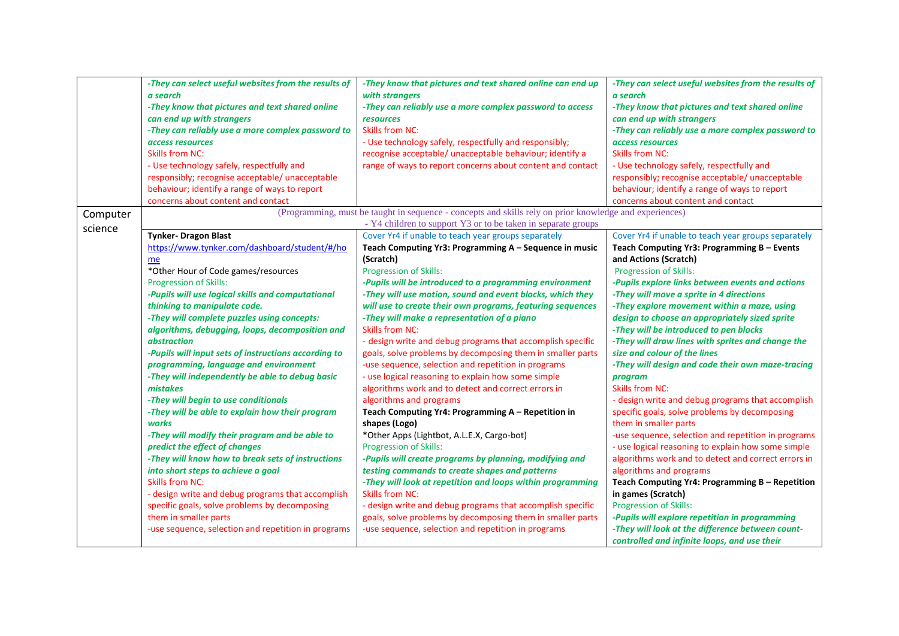|          | -They can select useful websites from the results of<br>a search<br>-They know that pictures and text shared online<br>can end up with strangers<br>-They can reliably use a more complex password to<br>access resources<br><b>Skills from NC:</b><br>- Use technology safely, respectfully and<br>responsibly; recognise acceptable/ unacceptable                                                                                                                                                                                                                                                                                                                                                                                                                                                                                                                                                                                                                                                                                | -They know that pictures and text shared online can end up<br>with strangers<br>-They can reliably use a more complex password to access<br>resources<br><b>Skills from NC:</b><br>- Use technology safely, respectfully and responsibly;<br>recognise acceptable/ unacceptable behaviour; identify a<br>range of ways to report concerns about content and contact                                                                                                                                                                                                                                                                                                                                                                                                                                                                                                                                                                                                                                                                                                                                                                                                                                                                                                                                 | -They can select useful websites from the results of<br>a search<br>-They know that pictures and text shared online<br>can end up with strangers<br>-They can reliably use a more complex password to<br>access resources<br><b>Skills from NC:</b><br>- Use technology safely, respectfully and<br>responsibly; recognise acceptable/ unacceptable                                                                                                                                                                                                                                                                                                                                                                                                                                                                                                                                                                                                                                                                                                                                                                                                                           |
|----------|------------------------------------------------------------------------------------------------------------------------------------------------------------------------------------------------------------------------------------------------------------------------------------------------------------------------------------------------------------------------------------------------------------------------------------------------------------------------------------------------------------------------------------------------------------------------------------------------------------------------------------------------------------------------------------------------------------------------------------------------------------------------------------------------------------------------------------------------------------------------------------------------------------------------------------------------------------------------------------------------------------------------------------|-----------------------------------------------------------------------------------------------------------------------------------------------------------------------------------------------------------------------------------------------------------------------------------------------------------------------------------------------------------------------------------------------------------------------------------------------------------------------------------------------------------------------------------------------------------------------------------------------------------------------------------------------------------------------------------------------------------------------------------------------------------------------------------------------------------------------------------------------------------------------------------------------------------------------------------------------------------------------------------------------------------------------------------------------------------------------------------------------------------------------------------------------------------------------------------------------------------------------------------------------------------------------------------------------------|-------------------------------------------------------------------------------------------------------------------------------------------------------------------------------------------------------------------------------------------------------------------------------------------------------------------------------------------------------------------------------------------------------------------------------------------------------------------------------------------------------------------------------------------------------------------------------------------------------------------------------------------------------------------------------------------------------------------------------------------------------------------------------------------------------------------------------------------------------------------------------------------------------------------------------------------------------------------------------------------------------------------------------------------------------------------------------------------------------------------------------------------------------------------------------|
|          | behaviour; identify a range of ways to report<br>concerns about content and contact                                                                                                                                                                                                                                                                                                                                                                                                                                                                                                                                                                                                                                                                                                                                                                                                                                                                                                                                                |                                                                                                                                                                                                                                                                                                                                                                                                                                                                                                                                                                                                                                                                                                                                                                                                                                                                                                                                                                                                                                                                                                                                                                                                                                                                                                     | behaviour; identify a range of ways to report<br>concerns about content and contact                                                                                                                                                                                                                                                                                                                                                                                                                                                                                                                                                                                                                                                                                                                                                                                                                                                                                                                                                                                                                                                                                           |
| Computer |                                                                                                                                                                                                                                                                                                                                                                                                                                                                                                                                                                                                                                                                                                                                                                                                                                                                                                                                                                                                                                    | (Programming, must be taught in sequence - concepts and skills rely on prior knowledge and experiences)<br>- Y4 children to support Y3 or to be taken in separate groups                                                                                                                                                                                                                                                                                                                                                                                                                                                                                                                                                                                                                                                                                                                                                                                                                                                                                                                                                                                                                                                                                                                            |                                                                                                                                                                                                                                                                                                                                                                                                                                                                                                                                                                                                                                                                                                                                                                                                                                                                                                                                                                                                                                                                                                                                                                               |
| science  | <b>Tynker- Dragon Blast</b><br>https://www.tynker.com/dashboard/student/#/ho<br>me<br>*Other Hour of Code games/resources<br>Progression of Skills:<br>-Pupils will use logical skills and computational<br>thinking to manipulate code.<br>-They will complete puzzles using concepts:<br>algorithms, debugging, loops, decomposition and<br><i>abstraction</i><br>-Pupils will input sets of instructions according to<br>programming, language and environment<br>-They will independently be able to debug basic<br>mistakes<br>-They will begin to use conditionals<br>-They will be able to explain how their program<br>works<br>-They will modify their program and be able to<br>predict the effect of changes<br>-They will know how to break sets of instructions<br>into short steps to achieve a goal<br><b>Skills from NC:</b><br>- design write and debug programs that accomplish<br>specific goals, solve problems by decomposing<br>them in smaller parts<br>-use sequence, selection and repetition in programs | Cover Yr4 if unable to teach year groups separately<br>Teach Computing Yr3: Programming A - Sequence in music<br>(Scratch)<br><b>Progression of Skills:</b><br>-Pupils will be introduced to a programming environment<br>-They will use motion, sound and event blocks, which they<br>will use to create their own programs, featuring sequences<br>-They will make a representation of a piano<br><b>Skills from NC:</b><br>- design write and debug programs that accomplish specific<br>goals, solve problems by decomposing them in smaller parts<br>-use sequence, selection and repetition in programs<br>- use logical reasoning to explain how some simple<br>algorithms work and to detect and correct errors in<br>algorithms and programs<br>Teach Computing Yr4: Programming A - Repetition in<br>shapes (Logo)<br>*Other Apps (Lightbot, A.L.E.X, Cargo-bot)<br><b>Progression of Skills:</b><br>-Pupils will create programs by planning, modifying and<br>testing commands to create shapes and patterns<br>-They will look at repetition and loops within programming<br><b>Skills from NC:</b><br>- design write and debug programs that accomplish specific<br>goals, solve problems by decomposing them in smaller parts<br>-use sequence, selection and repetition in programs | Cover Yr4 if unable to teach year groups separately<br>Teach Computing Yr3: Programming B - Events<br>and Actions (Scratch)<br>Progression of Skills:<br>-Pupils explore links between events and actions<br>-They will move a sprite in 4 directions<br>-They explore movement within a maze, using<br>design to choose an appropriately sized sprite<br>-They will be introduced to pen blocks<br>-They will draw lines with sprites and change the<br>size and colour of the lines<br>-They will design and code their own maze-tracing<br>program<br><b>Skills from NC:</b><br>- design write and debug programs that accomplish<br>specific goals, solve problems by decomposing<br>them in smaller parts<br>-use sequence, selection and repetition in programs<br>- use logical reasoning to explain how some simple<br>algorithms work and to detect and correct errors in<br>algorithms and programs<br>Teach Computing Yr4: Programming B - Repetition<br>in games (Scratch)<br><b>Progression of Skills:</b><br>-Pupils will explore repetition in programming<br>-They will look at the difference between count-<br>controlled and infinite loops, and use their |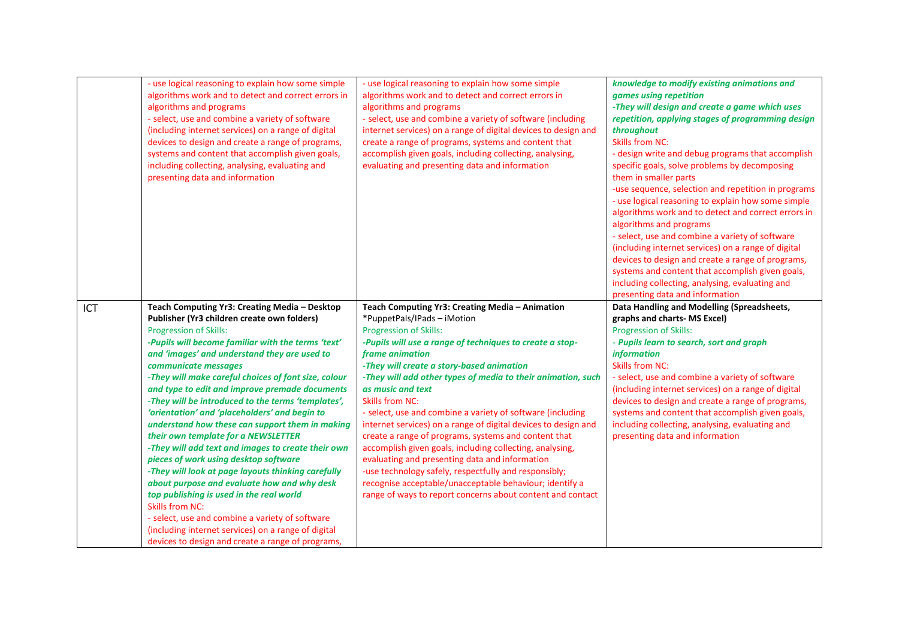|     | - use logical reasoning to explain how some simple<br>algorithms work and to detect and correct errors in<br>algorithms and programs<br>- select, use and combine a variety of software<br>(including internet services) on a range of digital<br>devices to design and create a range of programs,<br>systems and content that accomplish given goals,<br>including collecting, analysing, evaluating and<br>presenting data and information                                                                                                                                                                                                                                                                                                                                                                                                                                                                                                                                                            | - use logical reasoning to explain how some simple<br>algorithms work and to detect and correct errors in<br>algorithms and programs<br>- select, use and combine a variety of software (including<br>internet services) on a range of digital devices to design and<br>create a range of programs, systems and content that<br>accomplish given goals, including collecting, analysing,<br>evaluating and presenting data and information                                                                                                                                                                                                                                                                                                                                                                                                         | knowledge to modify existing animations and<br>games using repetition<br>-They will design and create a game which uses<br>repetition, applying stages of programming design<br>throughout<br><b>Skills from NC:</b><br>- design write and debug programs that accomplish<br>specific goals, solve problems by decomposing<br>them in smaller parts<br>-use sequence, selection and repetition in programs<br>- use logical reasoning to explain how some simple<br>algorithms work and to detect and correct errors in<br>algorithms and programs<br>- select, use and combine a variety of software<br>(including internet services) on a range of digital<br>devices to design and create a range of programs,<br>systems and content that accomplish given goals,<br>including collecting, analysing, evaluating and<br>presenting data and information |
|-----|----------------------------------------------------------------------------------------------------------------------------------------------------------------------------------------------------------------------------------------------------------------------------------------------------------------------------------------------------------------------------------------------------------------------------------------------------------------------------------------------------------------------------------------------------------------------------------------------------------------------------------------------------------------------------------------------------------------------------------------------------------------------------------------------------------------------------------------------------------------------------------------------------------------------------------------------------------------------------------------------------------|----------------------------------------------------------------------------------------------------------------------------------------------------------------------------------------------------------------------------------------------------------------------------------------------------------------------------------------------------------------------------------------------------------------------------------------------------------------------------------------------------------------------------------------------------------------------------------------------------------------------------------------------------------------------------------------------------------------------------------------------------------------------------------------------------------------------------------------------------|-------------------------------------------------------------------------------------------------------------------------------------------------------------------------------------------------------------------------------------------------------------------------------------------------------------------------------------------------------------------------------------------------------------------------------------------------------------------------------------------------------------------------------------------------------------------------------------------------------------------------------------------------------------------------------------------------------------------------------------------------------------------------------------------------------------------------------------------------------------|
| ICT | Teach Computing Yr3: Creating Media - Desktop<br>Publisher (Yr3 children create own folders)<br>Progression of Skills:<br>-Pupils will become familiar with the terms 'text'<br>and 'images' and understand they are used to<br>communicate messages<br>-They will make careful choices of font size, colour<br>and type to edit and improve premade documents<br>-They will be introduced to the terms 'templates',<br>'orientation' and 'placeholders' and begin to<br>understand how these can support them in making<br>their own template for a NEWSLETTER<br>-They will add text and images to create their own<br>pieces of work using desktop software<br>-They will look at page layouts thinking carefully<br>about purpose and evaluate how and why desk<br>top publishing is used in the real world<br><b>Skills from NC:</b><br>- select, use and combine a variety of software<br>(including internet services) on a range of digital<br>devices to design and create a range of programs, | Teach Computing Yr3: Creating Media - Animation<br>*PuppetPals/IPads - iMotion<br><b>Progression of Skills:</b><br>-Pupils will use a range of techniques to create a stop-<br>frame animation<br>-They will create a story-based animation<br>-They will add other types of media to their animation, such<br>as music and text<br><b>Skills from NC:</b><br>- select, use and combine a variety of software (including<br>internet services) on a range of digital devices to design and<br>create a range of programs, systems and content that<br>accomplish given goals, including collecting, analysing,<br>evaluating and presenting data and information<br>-use technology safely, respectfully and responsibly;<br>recognise acceptable/unacceptable behaviour; identify a<br>range of ways to report concerns about content and contact | Data Handling and Modelling (Spreadsheets,<br>graphs and charts- MS Excel)<br><b>Progression of Skills:</b><br>- Pupils learn to search, sort and graph<br><i>information</i><br><b>Skills from NC:</b><br>- select, use and combine a variety of software<br>(including internet services) on a range of digital<br>devices to design and create a range of programs,<br>systems and content that accomplish given goals,<br>including collecting, analysing, evaluating and<br>presenting data and information                                                                                                                                                                                                                                                                                                                                            |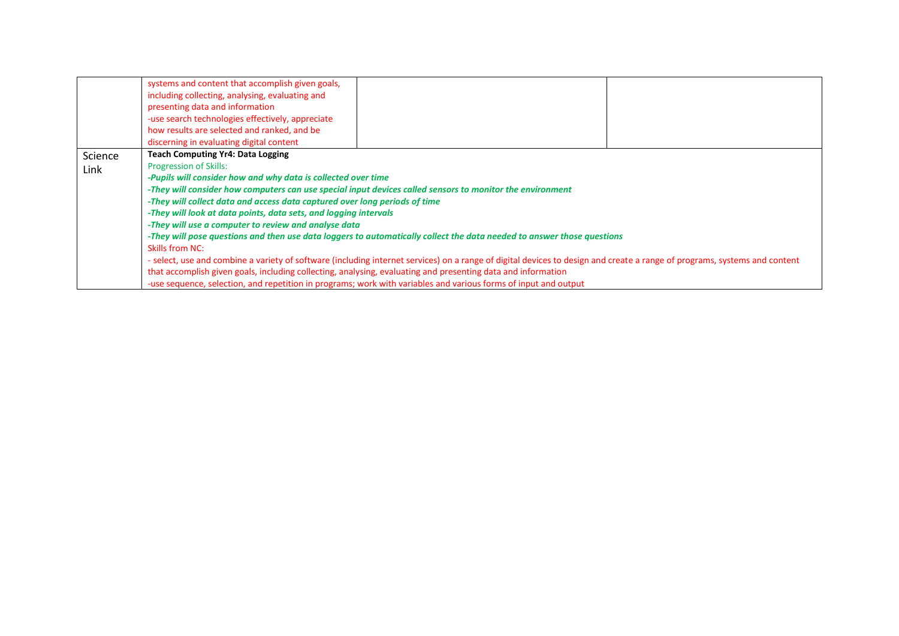|         | systems and content that accomplish given goals,<br>including collecting, analysing, evaluating and<br>presenting data and information<br>-use search technologies effectively, appreciate<br>how results are selected and ranked, and be<br>discerning in evaluating digital content |  |  |  |
|---------|---------------------------------------------------------------------------------------------------------------------------------------------------------------------------------------------------------------------------------------------------------------------------------------|--|--|--|
| Science | <b>Teach Computing Yr4: Data Logging</b>                                                                                                                                                                                                                                              |  |  |  |
| Link    | <b>Progression of Skills:</b>                                                                                                                                                                                                                                                         |  |  |  |
|         | -Pupils will consider how and why data is collected over time                                                                                                                                                                                                                         |  |  |  |
|         | -They will consider how computers can use special input devices called sensors to monitor the environment                                                                                                                                                                             |  |  |  |
|         | -They will collect data and access data captured over long periods of time                                                                                                                                                                                                            |  |  |  |
|         | -They will look at data points, data sets, and logging intervals                                                                                                                                                                                                                      |  |  |  |
|         | -They will use a computer to review and analyse data                                                                                                                                                                                                                                  |  |  |  |
|         | -They will pose questions and then use data loggers to automatically collect the data needed to answer those questions                                                                                                                                                                |  |  |  |
|         | Skills from NC:                                                                                                                                                                                                                                                                       |  |  |  |
|         | - select, use and combine a variety of software (including internet services) on a range of digital devices to design and create a range of programs, systems and content                                                                                                             |  |  |  |
|         | that accomplish given goals, including collecting, analysing, evaluating and presenting data and information                                                                                                                                                                          |  |  |  |
|         | -use sequence, selection, and repetition in programs; work with variables and various forms of input and output                                                                                                                                                                       |  |  |  |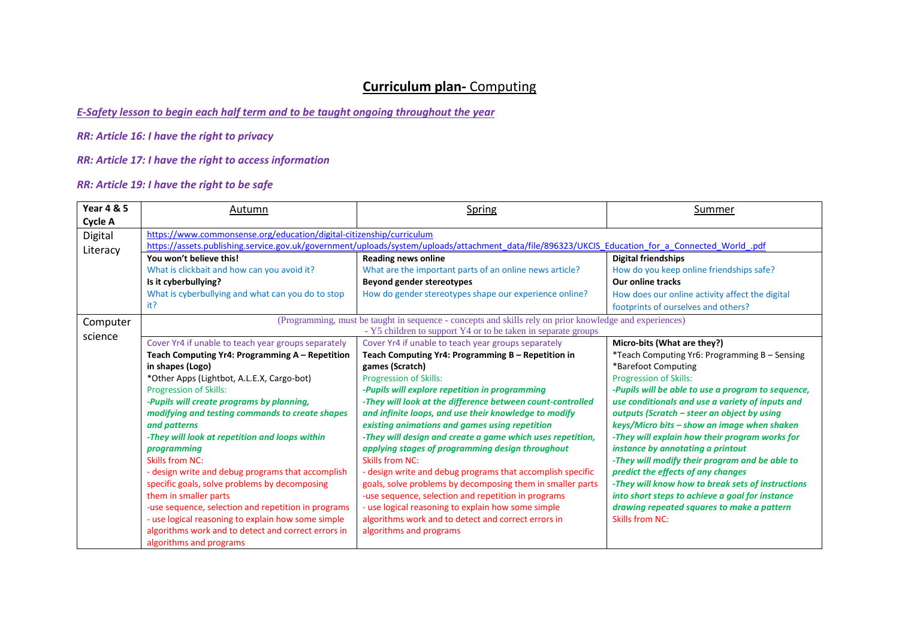#### *E-Safety lesson to begin each half term and to be taught ongoing throughout the year*

*RR: Article 16: I have the right to privacy*

*RR: Article 17: I have the right to access information*

| <b>Year 4 &amp; 5</b> | Autumn                                                               | Spring                                                                                                                                            | Summer                                             |
|-----------------------|----------------------------------------------------------------------|---------------------------------------------------------------------------------------------------------------------------------------------------|----------------------------------------------------|
| Cycle A               |                                                                      |                                                                                                                                                   |                                                    |
| Digital               | https://www.commonsense.org/education/digital-citizenship/curriculum |                                                                                                                                                   |                                                    |
| Literacy              |                                                                      | https://assets.publishing.service.gov.uk/government/uploads/system/uploads/attachment_data/file/896323/UKCIS_Education_for_a_Connected_World_.pdf |                                                    |
|                       | You won't believe this!                                              | <b>Reading news online</b>                                                                                                                        | <b>Digital friendships</b>                         |
|                       | What is clickbait and how can you avoid it?                          | What are the important parts of an online news article?                                                                                           | How do you keep online friendships safe?           |
|                       | Is it cyberbullying?                                                 | Beyond gender stereotypes                                                                                                                         | <b>Our online tracks</b>                           |
|                       | What is cyberbullying and what can you do to stop                    | How do gender stereotypes shape our experience online?                                                                                            | How does our online activity affect the digital    |
|                       | it?                                                                  |                                                                                                                                                   | footprints of ourselves and others?                |
| Computer              |                                                                      | (Programming, must be taught in sequence - concepts and skills rely on prior knowledge and experiences)                                           |                                                    |
| science               |                                                                      | - Y5 children to support Y4 or to be taken in separate groups                                                                                     |                                                    |
|                       | Cover Yr4 if unable to teach year groups separately                  | Cover Yr4 if unable to teach year groups separately                                                                                               | Micro-bits (What are they?)                        |
|                       | Teach Computing Yr4: Programming A - Repetition                      | Teach Computing Yr4: Programming B - Repetition in                                                                                                | *Teach Computing Yr6: Programming B - Sensing      |
|                       | in shapes (Logo)                                                     | games (Scratch)                                                                                                                                   | *Barefoot Computing                                |
|                       | *Other Apps (Lightbot, A.L.E.X, Cargo-bot)                           | <b>Progression of Skills:</b>                                                                                                                     | <b>Progression of Skills:</b>                      |
|                       | <b>Progression of Skills:</b>                                        | -Pupils will explore repetition in programming                                                                                                    | -Pupils will be able to use a program to sequence, |
|                       | -Pupils will create programs by planning,                            | -They will look at the difference between count-controlled                                                                                        | use conditionals and use a variety of inputs and   |
|                       | modifying and testing commands to create shapes                      | and infinite loops, and use their knowledge to modify                                                                                             | outputs (Scratch - steer an object by using        |
|                       | and patterns                                                         | existing animations and games using repetition                                                                                                    | keys/Micro bits - show an image when shaken        |
|                       | -They will look at repetition and loops within                       | -They will design and create a game which uses repetition,                                                                                        | -They will explain how their program works for     |
|                       | programming                                                          | applying stages of programming design throughout                                                                                                  | instance by annotating a printout                  |
|                       | Skills from NC:                                                      | <b>Skills from NC:</b>                                                                                                                            | -They will modify their program and be able to     |
|                       | - design write and debug programs that accomplish                    | - design write and debug programs that accomplish specific                                                                                        | predict the effects of any changes                 |
|                       | specific goals, solve problems by decomposing                        | goals, solve problems by decomposing them in smaller parts                                                                                        | -They will know how to break sets of instructions  |
|                       | them in smaller parts                                                | -use sequence, selection and repetition in programs                                                                                               | into short steps to achieve a goal for instance    |
|                       | -use sequence, selection and repetition in programs                  | - use logical reasoning to explain how some simple                                                                                                | drawing repeated squares to make a pattern         |
|                       | - use logical reasoning to explain how some simple                   | algorithms work and to detect and correct errors in                                                                                               | <b>Skills from NC:</b>                             |
|                       | algorithms work and to detect and correct errors in                  | algorithms and programs                                                                                                                           |                                                    |
|                       | algorithms and programs                                              |                                                                                                                                                   |                                                    |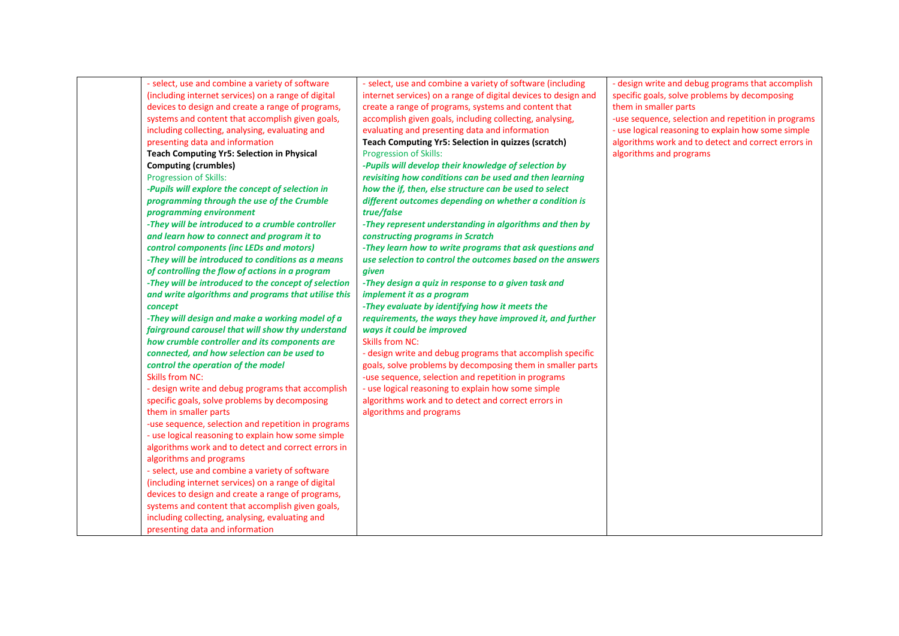| - select, use and combine a variety of software      | - select, use and combine a variety of software (including     | - design write and debug programs that accomplish   |
|------------------------------------------------------|----------------------------------------------------------------|-----------------------------------------------------|
| (including internet services) on a range of digital  | internet services) on a range of digital devices to design and | specific goals, solve problems by decomposing       |
| devices to design and create a range of programs,    | create a range of programs, systems and content that           | them in smaller parts                               |
| systems and content that accomplish given goals,     | accomplish given goals, including collecting, analysing,       | -use sequence, selection and repetition in programs |
| including collecting, analysing, evaluating and      | evaluating and presenting data and information                 | - use logical reasoning to explain how some simple  |
| presenting data and information                      | Teach Computing Yr5: Selection in quizzes (scratch)            | algorithms work and to detect and correct errors in |
| <b>Teach Computing Yr5: Selection in Physical</b>    | <b>Progression of Skills:</b>                                  | algorithms and programs                             |
| <b>Computing (crumbles)</b>                          | -Pupils will develop their knowledge of selection by           |                                                     |
| <b>Progression of Skills:</b>                        | revisiting how conditions can be used and then learning        |                                                     |
| -Pupils will explore the concept of selection in     | how the if, then, else structure can be used to select         |                                                     |
| programming through the use of the Crumble           | different outcomes depending on whether a condition is         |                                                     |
| programming environment                              | true/false                                                     |                                                     |
| -They will be introduced to a crumble controller     | -They represent understanding in algorithms and then by        |                                                     |
| and learn how to connect and program it to           | constructing programs in Scratch                               |                                                     |
| control components (inc LEDs and motors)             | -They learn how to write programs that ask questions and       |                                                     |
| -They will be introduced to conditions as a means    | use selection to control the outcomes based on the answers     |                                                     |
| of controlling the flow of actions in a program      | given                                                          |                                                     |
| -They will be introduced to the concept of selection | -They design a quiz in response to a given task and            |                                                     |
| and write algorithms and programs that utilise this  | implement it as a program                                      |                                                     |
| concept                                              | -They evaluate by identifying how it meets the                 |                                                     |
| -They will design and make a working model of a      | requirements, the ways they have improved it, and further      |                                                     |
| fairground carousel that will show thy understand    | ways it could be improved                                      |                                                     |
| how crumble controller and its components are        | <b>Skills from NC:</b>                                         |                                                     |
| connected, and how selection can be used to          | - design write and debug programs that accomplish specific     |                                                     |
| control the operation of the model                   | goals, solve problems by decomposing them in smaller parts     |                                                     |
| <b>Skills from NC:</b>                               | -use sequence, selection and repetition in programs            |                                                     |
| - design write and debug programs that accomplish    | - use logical reasoning to explain how some simple             |                                                     |
| specific goals, solve problems by decomposing        | algorithms work and to detect and correct errors in            |                                                     |
| them in smaller parts                                | algorithms and programs                                        |                                                     |
| -use sequence, selection and repetition in programs  |                                                                |                                                     |
| - use logical reasoning to explain how some simple   |                                                                |                                                     |
| algorithms work and to detect and correct errors in  |                                                                |                                                     |
| algorithms and programs                              |                                                                |                                                     |
| - select, use and combine a variety of software      |                                                                |                                                     |
| (including internet services) on a range of digital  |                                                                |                                                     |
| devices to design and create a range of programs,    |                                                                |                                                     |
| systems and content that accomplish given goals,     |                                                                |                                                     |
| including collecting, analysing, evaluating and      |                                                                |                                                     |
| presenting data and information                      |                                                                |                                                     |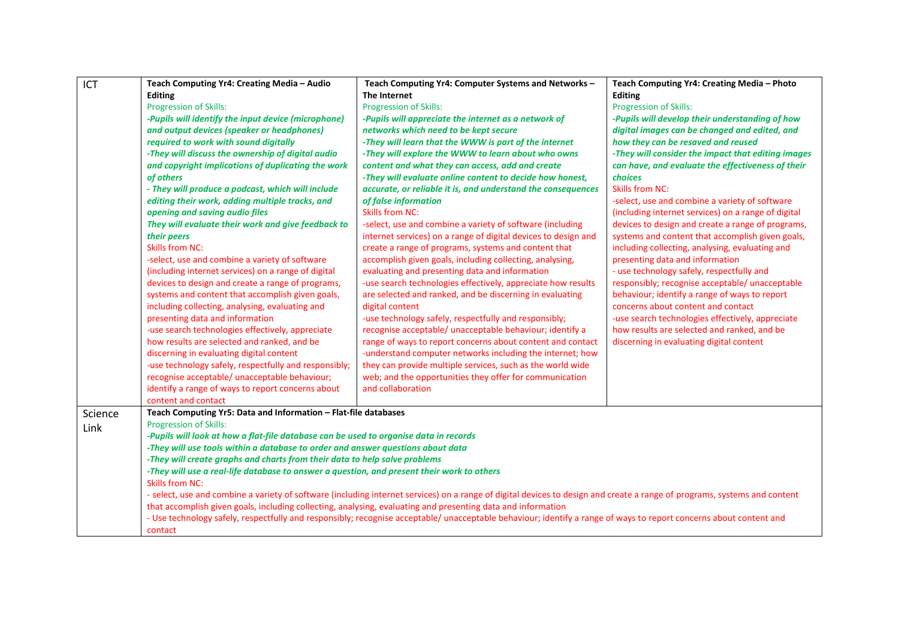| ICT     | Teach Computing Yr4: Creating Media - Audio                                                                  | Teach Computing Yr4: Computer Systems and Networks -                                                                                                                      | Teach Computing Yr4: Creating Media - Photo         |
|---------|--------------------------------------------------------------------------------------------------------------|---------------------------------------------------------------------------------------------------------------------------------------------------------------------------|-----------------------------------------------------|
|         | <b>Editing</b>                                                                                               | The Internet                                                                                                                                                              | <b>Editing</b>                                      |
|         | <b>Progression of Skills:</b>                                                                                | <b>Progression of Skills:</b>                                                                                                                                             | <b>Progression of Skills:</b>                       |
|         | -Pupils will identify the input device (microphone)                                                          | -Pupils will appreciate the internet as a network of                                                                                                                      | -Pupils will develop their understanding of how     |
|         | and output devices (speaker or headphones)                                                                   | networks which need to be kept secure                                                                                                                                     | digital images can be changed and edited, and       |
|         | required to work with sound digitally                                                                        | -They will learn that the WWW is part of the internet                                                                                                                     | how they can be resaved and reused                  |
|         | -They will discuss the ownership of digital audio                                                            | -They will explore the WWW to learn about who owns                                                                                                                        | -They will consider the impact that editing images  |
|         | and copyright implications of duplicating the work                                                           | content and what they can access, add and create                                                                                                                          | can have, and evaluate the effectiveness of their   |
|         | of others                                                                                                    | -They will evaluate online content to decide how honest,                                                                                                                  | choices                                             |
|         | - They will produce a podcast, which will include                                                            | accurate, or reliable it is, and understand the consequences                                                                                                              | <b>Skills from NC:</b>                              |
|         | editing their work, adding multiple tracks, and                                                              | of false information                                                                                                                                                      | -select, use and combine a variety of software      |
|         | opening and saving audio files                                                                               | <b>Skills from NC:</b>                                                                                                                                                    | (including internet services) on a range of digital |
|         | They will evaluate their work and give feedback to                                                           | -select, use and combine a variety of software (including                                                                                                                 | devices to design and create a range of programs,   |
|         | their peers                                                                                                  | internet services) on a range of digital devices to design and                                                                                                            | systems and content that accomplish given goals,    |
|         | <b>Skills from NC:</b>                                                                                       | create a range of programs, systems and content that                                                                                                                      | including collecting, analysing, evaluating and     |
|         | -select, use and combine a variety of software                                                               | accomplish given goals, including collecting, analysing,                                                                                                                  | presenting data and information                     |
|         | (including internet services) on a range of digital                                                          | evaluating and presenting data and information                                                                                                                            | - use technology safely, respectfully and           |
|         | devices to design and create a range of programs,                                                            | -use search technologies effectively, appreciate how results                                                                                                              | responsibly; recognise acceptable/ unacceptable     |
|         | systems and content that accomplish given goals,                                                             | are selected and ranked, and be discerning in evaluating                                                                                                                  | behaviour; identify a range of ways to report       |
|         | including collecting, analysing, evaluating and                                                              | digital content                                                                                                                                                           | concerns about content and contact                  |
|         | presenting data and information                                                                              | -use technology safely, respectfully and responsibly;                                                                                                                     | -use search technologies effectively, appreciate    |
|         | -use search technologies effectively, appreciate                                                             | recognise acceptable/ unacceptable behaviour; identify a                                                                                                                  | how results are selected and ranked, and be         |
|         | how results are selected and ranked, and be                                                                  | range of ways to report concerns about content and contact                                                                                                                | discerning in evaluating digital content            |
|         | discerning in evaluating digital content                                                                     | -understand computer networks including the internet; how                                                                                                                 |                                                     |
|         | -use technology safely, respectfully and responsibly;                                                        | they can provide multiple services, such as the world wide                                                                                                                |                                                     |
|         | recognise acceptable/ unacceptable behaviour;                                                                | web; and the opportunities they offer for communication                                                                                                                   |                                                     |
|         | identify a range of ways to report concerns about                                                            | and collaboration                                                                                                                                                         |                                                     |
|         | content and contact                                                                                          |                                                                                                                                                                           |                                                     |
| Science | Teach Computing Yr5: Data and Information - Flat-file databases                                              |                                                                                                                                                                           |                                                     |
| Link    | <b>Progression of Skills:</b>                                                                                |                                                                                                                                                                           |                                                     |
|         | -Pupils will look at how a flat-file database can be used to organise data in records                        |                                                                                                                                                                           |                                                     |
|         | -They will use tools within a database to order and answer questions about data                              |                                                                                                                                                                           |                                                     |
|         | -They will create graphs and charts from their data to help solve problems                                   |                                                                                                                                                                           |                                                     |
|         | -They will use a real-life database to answer a question, and present their work to others                   |                                                                                                                                                                           |                                                     |
|         | <b>Skills from NC:</b>                                                                                       |                                                                                                                                                                           |                                                     |
|         |                                                                                                              | - select, use and combine a variety of software (including internet services) on a range of digital devices to design and create a range of programs, systems and content |                                                     |
|         | that accomplish given goals, including collecting, analysing, evaluating and presenting data and information |                                                                                                                                                                           |                                                     |
|         |                                                                                                              | - Use technology safely, respectfully and responsibly; recognise acceptable/ unacceptable behaviour; identify a range of ways to report concerns about content and        |                                                     |
|         | contact                                                                                                      |                                                                                                                                                                           |                                                     |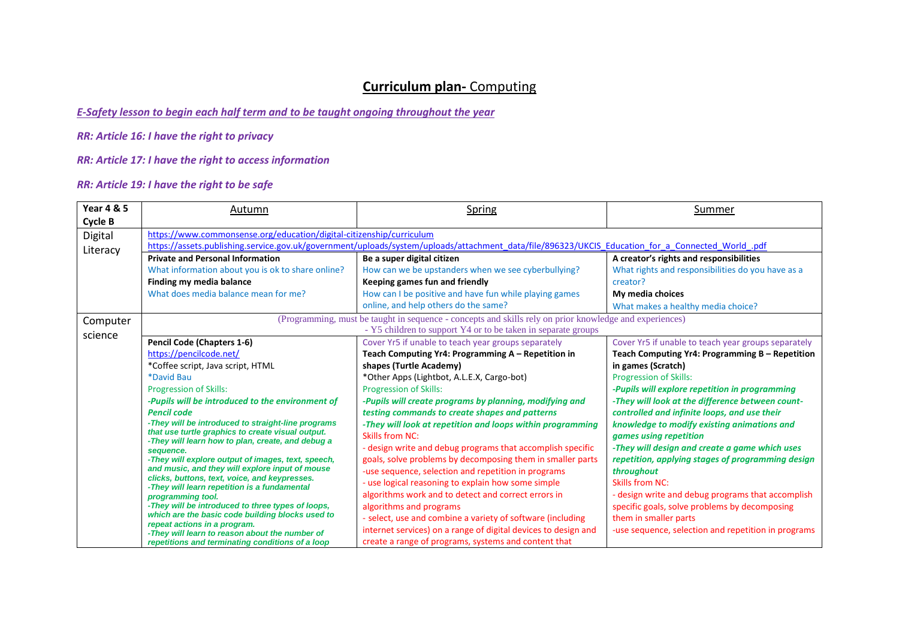#### *E-Safety lesson to begin each half term and to be taught ongoing throughout the year*

*RR: Article 16: I have the right to privacy*

*RR: Article 17: I have the right to access information*

| <b>Year 4 &amp; 5</b> | Autumn                                                                                                 | <b>Spring</b>                                                                                                                                     | Summer                                              |
|-----------------------|--------------------------------------------------------------------------------------------------------|---------------------------------------------------------------------------------------------------------------------------------------------------|-----------------------------------------------------|
| <b>Cycle B</b>        |                                                                                                        |                                                                                                                                                   |                                                     |
| Digital               | https://www.commonsense.org/education/digital-citizenship/curriculum                                   |                                                                                                                                                   |                                                     |
| Literacy              |                                                                                                        | https://assets.publishing.service.gov.uk/government/uploads/system/uploads/attachment_data/file/896323/UKCIS_Education_for_a_Connected_World_.pdf |                                                     |
|                       | <b>Private and Personal Information</b>                                                                | Be a super digital citizen                                                                                                                        | A creator's rights and responsibilities             |
|                       | What information about you is ok to share online?                                                      | How can we be upstanders when we see cyberbullying?                                                                                               | What rights and responsibilities do you have as a   |
|                       | Finding my media balance                                                                               | Keeping games fun and friendly                                                                                                                    | creator?                                            |
|                       | What does media balance mean for me?                                                                   | How can I be positive and have fun while playing games                                                                                            | My media choices                                    |
|                       |                                                                                                        | online, and help others do the same?                                                                                                              | What makes a healthy media choice?                  |
| Computer              |                                                                                                        | (Programming, must be taught in sequence - concepts and skills rely on prior knowledge and experiences)                                           |                                                     |
| science               |                                                                                                        | - Y5 children to support Y4 or to be taken in separate groups                                                                                     |                                                     |
|                       | Pencil Code (Chapters 1-6)                                                                             | Cover Yr5 if unable to teach year groups separately                                                                                               | Cover Yr5 if unable to teach year groups separately |
|                       | https://pencilcode.net/                                                                                | Teach Computing Yr4: Programming A - Repetition in                                                                                                | Teach Computing Yr4: Programming B – Repetition     |
|                       | *Coffee script, Java script, HTML                                                                      | shapes (Turtle Academy)                                                                                                                           | in games (Scratch)                                  |
|                       | *David Bau                                                                                             | *Other Apps (Lightbot, A.L.E.X, Cargo-bot)                                                                                                        | <b>Progression of Skills:</b>                       |
|                       | <b>Progression of Skills:</b>                                                                          | <b>Progression of Skills:</b>                                                                                                                     | -Pupils will explore repetition in programming      |
|                       | -Pupils will be introduced to the environment of                                                       | -Pupils will create programs by planning, modifying and                                                                                           | -They will look at the difference between count-    |
|                       | <b>Pencil code</b>                                                                                     | testing commands to create shapes and patterns                                                                                                    | controlled and infinite loops, and use their        |
|                       | -They will be introduced to straight-line programs                                                     | -They will look at repetition and loops within programming                                                                                        | knowledge to modify existing animations and         |
|                       | that use turtle graphics to create visual output.<br>-They will learn how to plan, create, and debug a | <b>Skills from NC:</b>                                                                                                                            | games using repetition                              |
|                       | sequence.                                                                                              | - design write and debug programs that accomplish specific                                                                                        | -They will design and create a game which uses      |
|                       | -They will explore output of images, text, speech,                                                     | goals, solve problems by decomposing them in smaller parts                                                                                        | repetition, applying stages of programming design   |
|                       | and music, and they will explore input of mouse<br>clicks, buttons, text, voice, and keypresses.       | -use sequence, selection and repetition in programs                                                                                               | throughout                                          |
|                       | -They will learn repetition is a fundamental                                                           | - use logical reasoning to explain how some simple                                                                                                | <b>Skills from NC:</b>                              |
|                       | programming tool.                                                                                      | algorithms work and to detect and correct errors in                                                                                               | - design write and debug programs that accomplish   |
|                       | -They will be introduced to three types of loops,                                                      | algorithms and programs                                                                                                                           | specific goals, solve problems by decomposing       |
|                       | which are the basic code building blocks used to<br>repeat actions in a program.                       | - select, use and combine a variety of software (including                                                                                        | them in smaller parts                               |
|                       | -They will learn to reason about the number of                                                         | internet services) on a range of digital devices to design and                                                                                    | -use sequence, selection and repetition in programs |
|                       | repetitions and terminating conditions of a loop                                                       | create a range of programs, systems and content that                                                                                              |                                                     |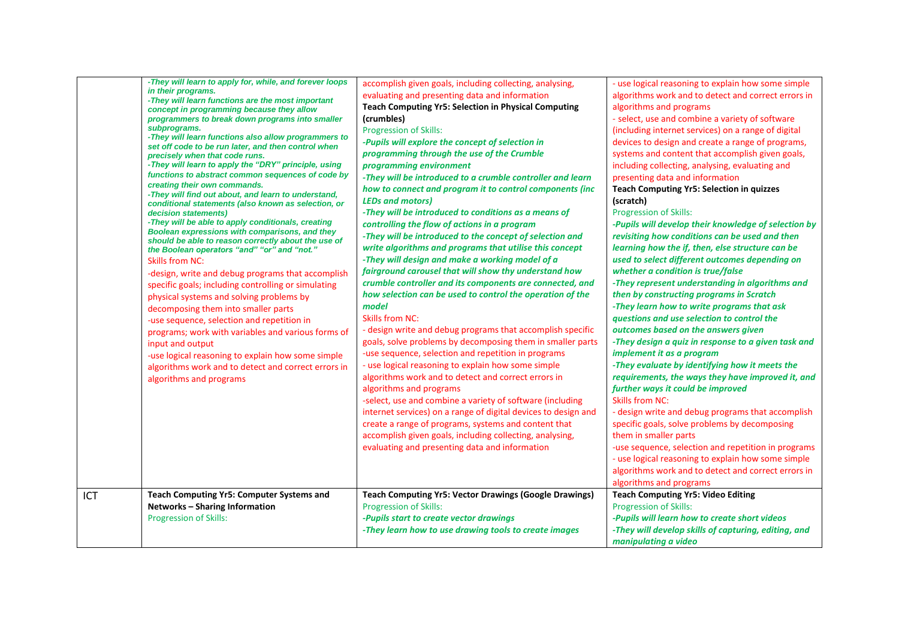|     | -They will learn to apply for, while, and forever loops<br>in their programs.<br>-They will learn functions are the most important<br>concept in programming because they allow<br>programmers to break down programs into smaller<br>subprograms.<br>-They will learn functions also allow programmers to<br>set off code to be run later, and then control when<br>precisely when that code runs.<br>-They will learn to apply the "DRY" principle, using<br>functions to abstract common sequences of code by<br>creating their own commands.<br>-They will find out about, and learn to understand,<br>conditional statements (also known as selection, or<br>decision statements)<br>-They will be able to apply conditionals, creating<br>Boolean expressions with comparisons, and they<br>should be able to reason correctly about the use of<br>the Boolean operators "and" "or" and "not."<br><b>Skills from NC:</b><br>-design, write and debug programs that accomplish<br>specific goals; including controlling or simulating<br>physical systems and solving problems by<br>decomposing them into smaller parts<br>-use sequence, selection and repetition in<br>programs; work with variables and various forms of<br>input and output<br>-use logical reasoning to explain how some simple<br>algorithms work and to detect and correct errors in<br>algorithms and programs | accomplish given goals, including collecting, analysing,<br>evaluating and presenting data and information<br><b>Teach Computing Yr5: Selection in Physical Computing</b><br>(crumbles)<br><b>Progression of Skills:</b><br>-Pupils will explore the concept of selection in<br>programming through the use of the Crumble<br>programming environment<br>-They will be introduced to a crumble controller and learn<br>how to connect and program it to control components (inc<br><b>LEDs and motors)</b><br>-They will be introduced to conditions as a means of<br>controlling the flow of actions in a program<br>-They will be introduced to the concept of selection and<br>write algorithms and programs that utilise this concept<br>-They will design and make a working model of a<br>fairground carousel that will show thy understand how<br>crumble controller and its components are connected, and<br>how selection can be used to control the operation of the<br>model<br><b>Skills from NC:</b><br>- design write and debug programs that accomplish specific<br>goals, solve problems by decomposing them in smaller parts<br>-use sequence, selection and repetition in programs<br>- use logical reasoning to explain how some simple<br>algorithms work and to detect and correct errors in<br>algorithms and programs<br>-select, use and combine a variety of software (including<br>internet services) on a range of digital devices to design and<br>create a range of programs, systems and content that<br>accomplish given goals, including collecting, analysing,<br>evaluating and presenting data and information | - use logical reasoning to explain how some simple<br>algorithms work and to detect and correct errors in<br>algorithms and programs<br>- select, use and combine a variety of software<br>(including internet services) on a range of digital<br>devices to design and create a range of programs,<br>systems and content that accomplish given goals,<br>including collecting, analysing, evaluating and<br>presenting data and information<br><b>Teach Computing Yr5: Selection in quizzes</b><br>(scratch)<br><b>Progression of Skills:</b><br>-Pupils will develop their knowledge of selection by<br>revisiting how conditions can be used and then<br>learning how the if, then, else structure can be<br>used to select different outcomes depending on<br>whether a condition is true/false<br>-They represent understanding in algorithms and<br>then by constructing programs in Scratch<br>-They learn how to write programs that ask<br>questions and use selection to control the<br>outcomes based on the answers given<br>-They design a quiz in response to a given task and<br>implement it as a program<br>-They evaluate by identifying how it meets the<br>requirements, the ways they have improved it, and<br>further ways it could be improved<br>Skills from NC:<br>- design write and debug programs that accomplish<br>specific goals, solve problems by decomposing<br>them in smaller parts<br>-use sequence, selection and repetition in programs<br>- use logical reasoning to explain how some simple<br>algorithms work and to detect and correct errors in<br>algorithms and programs |
|-----|----------------------------------------------------------------------------------------------------------------------------------------------------------------------------------------------------------------------------------------------------------------------------------------------------------------------------------------------------------------------------------------------------------------------------------------------------------------------------------------------------------------------------------------------------------------------------------------------------------------------------------------------------------------------------------------------------------------------------------------------------------------------------------------------------------------------------------------------------------------------------------------------------------------------------------------------------------------------------------------------------------------------------------------------------------------------------------------------------------------------------------------------------------------------------------------------------------------------------------------------------------------------------------------------------------------------------------------------------------------------------------------------|---------------------------------------------------------------------------------------------------------------------------------------------------------------------------------------------------------------------------------------------------------------------------------------------------------------------------------------------------------------------------------------------------------------------------------------------------------------------------------------------------------------------------------------------------------------------------------------------------------------------------------------------------------------------------------------------------------------------------------------------------------------------------------------------------------------------------------------------------------------------------------------------------------------------------------------------------------------------------------------------------------------------------------------------------------------------------------------------------------------------------------------------------------------------------------------------------------------------------------------------------------------------------------------------------------------------------------------------------------------------------------------------------------------------------------------------------------------------------------------------------------------------------------------------------------------------------------------------------------------------------------------------------|-------------------------------------------------------------------------------------------------------------------------------------------------------------------------------------------------------------------------------------------------------------------------------------------------------------------------------------------------------------------------------------------------------------------------------------------------------------------------------------------------------------------------------------------------------------------------------------------------------------------------------------------------------------------------------------------------------------------------------------------------------------------------------------------------------------------------------------------------------------------------------------------------------------------------------------------------------------------------------------------------------------------------------------------------------------------------------------------------------------------------------------------------------------------------------------------------------------------------------------------------------------------------------------------------------------------------------------------------------------------------------------------------------------------------------------------------------------------------------------------------------------------------------------------------------------------------------------------------------------------------|
| ICT | Teach Computing Yr5: Computer Systems and                                                                                                                                                                                                                                                                                                                                                                                                                                                                                                                                                                                                                                                                                                                                                                                                                                                                                                                                                                                                                                                                                                                                                                                                                                                                                                                                                    | <b>Teach Computing Yr5: Vector Drawings (Google Drawings)</b>                                                                                                                                                                                                                                                                                                                                                                                                                                                                                                                                                                                                                                                                                                                                                                                                                                                                                                                                                                                                                                                                                                                                                                                                                                                                                                                                                                                                                                                                                                                                                                                     | <b>Teach Computing Yr5: Video Editing</b>                                                                                                                                                                                                                                                                                                                                                                                                                                                                                                                                                                                                                                                                                                                                                                                                                                                                                                                                                                                                                                                                                                                                                                                                                                                                                                                                                                                                                                                                                                                                                                               |
|     | <b>Networks - Sharing Information</b>                                                                                                                                                                                                                                                                                                                                                                                                                                                                                                                                                                                                                                                                                                                                                                                                                                                                                                                                                                                                                                                                                                                                                                                                                                                                                                                                                        | <b>Progression of Skills:</b>                                                                                                                                                                                                                                                                                                                                                                                                                                                                                                                                                                                                                                                                                                                                                                                                                                                                                                                                                                                                                                                                                                                                                                                                                                                                                                                                                                                                                                                                                                                                                                                                                     | <b>Progression of Skills:</b>                                                                                                                                                                                                                                                                                                                                                                                                                                                                                                                                                                                                                                                                                                                                                                                                                                                                                                                                                                                                                                                                                                                                                                                                                                                                                                                                                                                                                                                                                                                                                                                           |
|     | <b>Progression of Skills:</b>                                                                                                                                                                                                                                                                                                                                                                                                                                                                                                                                                                                                                                                                                                                                                                                                                                                                                                                                                                                                                                                                                                                                                                                                                                                                                                                                                                | -Pupils start to create vector drawings                                                                                                                                                                                                                                                                                                                                                                                                                                                                                                                                                                                                                                                                                                                                                                                                                                                                                                                                                                                                                                                                                                                                                                                                                                                                                                                                                                                                                                                                                                                                                                                                           | -Pupils will learn how to create short videos                                                                                                                                                                                                                                                                                                                                                                                                                                                                                                                                                                                                                                                                                                                                                                                                                                                                                                                                                                                                                                                                                                                                                                                                                                                                                                                                                                                                                                                                                                                                                                           |
|     |                                                                                                                                                                                                                                                                                                                                                                                                                                                                                                                                                                                                                                                                                                                                                                                                                                                                                                                                                                                                                                                                                                                                                                                                                                                                                                                                                                                              | -They learn how to use drawing tools to create images                                                                                                                                                                                                                                                                                                                                                                                                                                                                                                                                                                                                                                                                                                                                                                                                                                                                                                                                                                                                                                                                                                                                                                                                                                                                                                                                                                                                                                                                                                                                                                                             | -They will develop skills of capturing, editing, and                                                                                                                                                                                                                                                                                                                                                                                                                                                                                                                                                                                                                                                                                                                                                                                                                                                                                                                                                                                                                                                                                                                                                                                                                                                                                                                                                                                                                                                                                                                                                                    |
|     |                                                                                                                                                                                                                                                                                                                                                                                                                                                                                                                                                                                                                                                                                                                                                                                                                                                                                                                                                                                                                                                                                                                                                                                                                                                                                                                                                                                              |                                                                                                                                                                                                                                                                                                                                                                                                                                                                                                                                                                                                                                                                                                                                                                                                                                                                                                                                                                                                                                                                                                                                                                                                                                                                                                                                                                                                                                                                                                                                                                                                                                                   | manipulating a video                                                                                                                                                                                                                                                                                                                                                                                                                                                                                                                                                                                                                                                                                                                                                                                                                                                                                                                                                                                                                                                                                                                                                                                                                                                                                                                                                                                                                                                                                                                                                                                                    |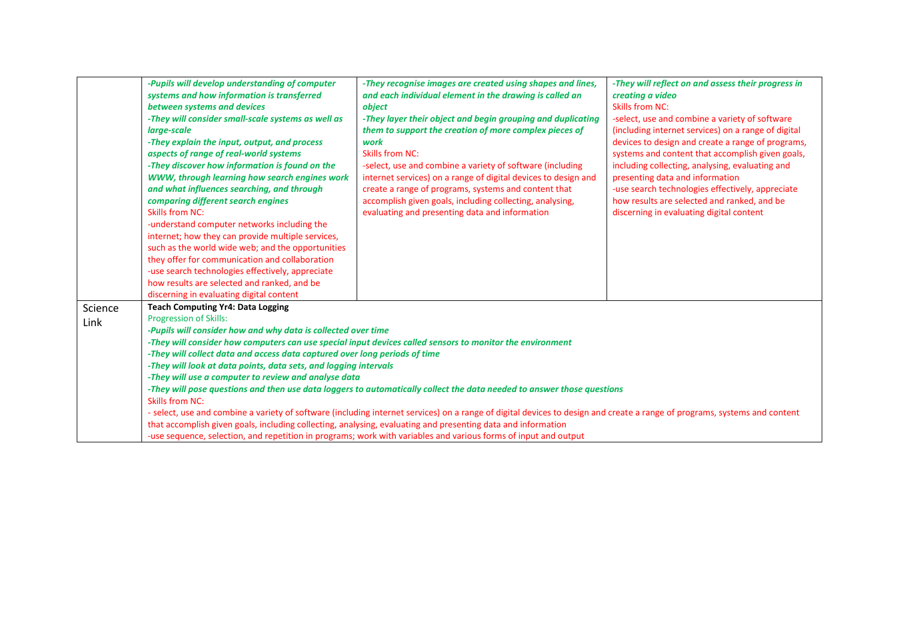|         | -Pupils will develop understanding of computer<br>systems and how information is transferred<br>between systems and devices<br>-They will consider small-scale systems as well as<br>large-scale<br>-They explain the input, output, and process<br>aspects of range of real-world systems<br>-They discover how information is found on the<br>WWW, through learning how search engines work<br>and what influences searching, and through<br>comparing different search engines<br><b>Skills from NC:</b><br>-understand computer networks including the<br>internet; how they can provide multiple services,<br>such as the world wide web; and the opportunities<br>they offer for communication and collaboration<br>-use search technologies effectively, appreciate<br>how results are selected and ranked, and be<br>discerning in evaluating digital content | -They recognise images are created using shapes and lines,<br>and each individual element in the drawing is called an<br>object<br>-They layer their object and begin grouping and duplicating<br>them to support the creation of more complex pieces of<br>work<br><b>Skills from NC:</b><br>-select, use and combine a variety of software (including<br>internet services) on a range of digital devices to design and<br>create a range of programs, systems and content that<br>accomplish given goals, including collecting, analysing,<br>evaluating and presenting data and information | -They will reflect on and assess their progress in<br>creating a video<br>Skills from NC:<br>-select, use and combine a variety of software<br>(including internet services) on a range of digital<br>devices to design and create a range of programs,<br>systems and content that accomplish given goals,<br>including collecting, analysing, evaluating and<br>presenting data and information<br>-use search technologies effectively, appreciate<br>how results are selected and ranked, and be<br>discerning in evaluating digital content |
|---------|-----------------------------------------------------------------------------------------------------------------------------------------------------------------------------------------------------------------------------------------------------------------------------------------------------------------------------------------------------------------------------------------------------------------------------------------------------------------------------------------------------------------------------------------------------------------------------------------------------------------------------------------------------------------------------------------------------------------------------------------------------------------------------------------------------------------------------------------------------------------------|-------------------------------------------------------------------------------------------------------------------------------------------------------------------------------------------------------------------------------------------------------------------------------------------------------------------------------------------------------------------------------------------------------------------------------------------------------------------------------------------------------------------------------------------------------------------------------------------------|--------------------------------------------------------------------------------------------------------------------------------------------------------------------------------------------------------------------------------------------------------------------------------------------------------------------------------------------------------------------------------------------------------------------------------------------------------------------------------------------------------------------------------------------------|
| Science | <b>Teach Computing Yr4: Data Logging</b>                                                                                                                                                                                                                                                                                                                                                                                                                                                                                                                                                                                                                                                                                                                                                                                                                              |                                                                                                                                                                                                                                                                                                                                                                                                                                                                                                                                                                                                 |                                                                                                                                                                                                                                                                                                                                                                                                                                                                                                                                                  |
| Link    | <b>Progression of Skills:</b>                                                                                                                                                                                                                                                                                                                                                                                                                                                                                                                                                                                                                                                                                                                                                                                                                                         |                                                                                                                                                                                                                                                                                                                                                                                                                                                                                                                                                                                                 |                                                                                                                                                                                                                                                                                                                                                                                                                                                                                                                                                  |
|         | -Pupils will consider how and why data is collected over time                                                                                                                                                                                                                                                                                                                                                                                                                                                                                                                                                                                                                                                                                                                                                                                                         |                                                                                                                                                                                                                                                                                                                                                                                                                                                                                                                                                                                                 |                                                                                                                                                                                                                                                                                                                                                                                                                                                                                                                                                  |
|         |                                                                                                                                                                                                                                                                                                                                                                                                                                                                                                                                                                                                                                                                                                                                                                                                                                                                       | -They will consider how computers can use special input devices called sensors to monitor the environment                                                                                                                                                                                                                                                                                                                                                                                                                                                                                       |                                                                                                                                                                                                                                                                                                                                                                                                                                                                                                                                                  |
|         | -They will collect data and access data captured over long periods of time<br>-They will look at data points, data sets, and logging intervals                                                                                                                                                                                                                                                                                                                                                                                                                                                                                                                                                                                                                                                                                                                        |                                                                                                                                                                                                                                                                                                                                                                                                                                                                                                                                                                                                 |                                                                                                                                                                                                                                                                                                                                                                                                                                                                                                                                                  |
|         | -They will use a computer to review and analyse data                                                                                                                                                                                                                                                                                                                                                                                                                                                                                                                                                                                                                                                                                                                                                                                                                  |                                                                                                                                                                                                                                                                                                                                                                                                                                                                                                                                                                                                 |                                                                                                                                                                                                                                                                                                                                                                                                                                                                                                                                                  |
|         |                                                                                                                                                                                                                                                                                                                                                                                                                                                                                                                                                                                                                                                                                                                                                                                                                                                                       |                                                                                                                                                                                                                                                                                                                                                                                                                                                                                                                                                                                                 |                                                                                                                                                                                                                                                                                                                                                                                                                                                                                                                                                  |
|         | -They will pose questions and then use data loggers to automatically collect the data needed to answer those questions<br><b>Skills from NC:</b>                                                                                                                                                                                                                                                                                                                                                                                                                                                                                                                                                                                                                                                                                                                      |                                                                                                                                                                                                                                                                                                                                                                                                                                                                                                                                                                                                 |                                                                                                                                                                                                                                                                                                                                                                                                                                                                                                                                                  |
|         |                                                                                                                                                                                                                                                                                                                                                                                                                                                                                                                                                                                                                                                                                                                                                                                                                                                                       | - select, use and combine a variety of software (including internet services) on a range of digital devices to design and create a range of programs, systems and content                                                                                                                                                                                                                                                                                                                                                                                                                       |                                                                                                                                                                                                                                                                                                                                                                                                                                                                                                                                                  |
|         |                                                                                                                                                                                                                                                                                                                                                                                                                                                                                                                                                                                                                                                                                                                                                                                                                                                                       | that accomplish given goals, including collecting, analysing, evaluating and presenting data and information                                                                                                                                                                                                                                                                                                                                                                                                                                                                                    |                                                                                                                                                                                                                                                                                                                                                                                                                                                                                                                                                  |
|         |                                                                                                                                                                                                                                                                                                                                                                                                                                                                                                                                                                                                                                                                                                                                                                                                                                                                       | -use sequence, selection, and repetition in programs; work with variables and various forms of input and output                                                                                                                                                                                                                                                                                                                                                                                                                                                                                 |                                                                                                                                                                                                                                                                                                                                                                                                                                                                                                                                                  |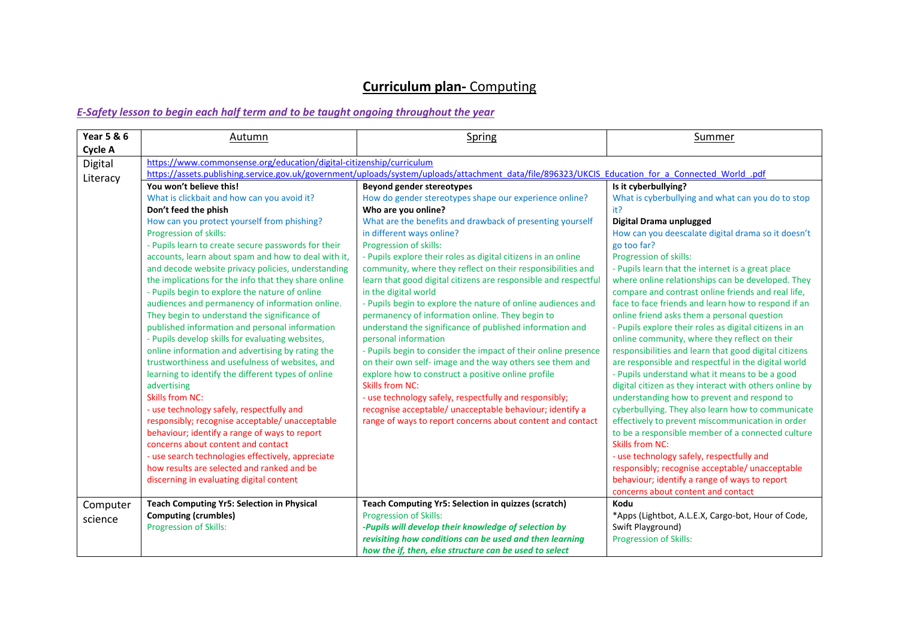| <b>Year 5 &amp; 6</b> | Autumn                                                               | Spring                                                                                                                                            | Summer                                                 |
|-----------------------|----------------------------------------------------------------------|---------------------------------------------------------------------------------------------------------------------------------------------------|--------------------------------------------------------|
| <b>Cycle A</b>        |                                                                      |                                                                                                                                                   |                                                        |
| Digital               | https://www.commonsense.org/education/digital-citizenship/curriculum |                                                                                                                                                   |                                                        |
| Literacy              |                                                                      | https://assets.publishing.service.gov.uk/government/uploads/system/uploads/attachment_data/file/896323/UKCIS_Education_for_a_Connected_World_.pdf |                                                        |
|                       | You won't believe this!                                              | <b>Beyond gender stereotypes</b>                                                                                                                  | Is it cyberbullying?                                   |
|                       | What is clickbait and how can you avoid it?                          | How do gender stereotypes shape our experience online?                                                                                            | What is cyberbullying and what can you do to stop      |
|                       | Don't feed the phish                                                 | Who are you online?                                                                                                                               | it?                                                    |
|                       | How can you protect yourself from phishing?                          | What are the benefits and drawback of presenting yourself                                                                                         | Digital Drama unplugged                                |
|                       | Progression of skills:                                               | in different ways online?                                                                                                                         | How can you deescalate digital drama so it doesn't     |
|                       | - Pupils learn to create secure passwords for their                  | Progression of skills:                                                                                                                            | go too far?                                            |
|                       | accounts, learn about spam and how to deal with it,                  | - Pupils explore their roles as digital citizens in an online                                                                                     | Progression of skills:                                 |
|                       | and decode website privacy policies, understanding                   | community, where they reflect on their responsibilities and                                                                                       | - Pupils learn that the internet is a great place      |
|                       | the implications for the info that they share online                 | learn that good digital citizens are responsible and respectful                                                                                   | where online relationships can be developed. They      |
|                       | - Pupils begin to explore the nature of online                       | in the digital world                                                                                                                              | compare and contrast online friends and real life,     |
|                       | audiences and permanency of information online.                      | - Pupils begin to explore the nature of online audiences and                                                                                      | face to face friends and learn how to respond if an    |
|                       | They begin to understand the significance of                         | permanency of information online. They begin to                                                                                                   | online friend asks them a personal question            |
|                       | published information and personal information                       | understand the significance of published information and                                                                                          | - Pupils explore their roles as digital citizens in an |
|                       | - Pupils develop skills for evaluating websites,                     | personal information                                                                                                                              | online community, where they reflect on their          |
|                       | online information and advertising by rating the                     | - Pupils begin to consider the impact of their online presence                                                                                    | responsibilities and learn that good digital citizens  |
|                       | trustworthiness and usefulness of websites, and                      | on their own self- image and the way others see them and                                                                                          | are responsible and respectful in the digital world    |
|                       | learning to identify the different types of online                   | explore how to construct a positive online profile                                                                                                | - Pupils understand what it means to be a good         |
|                       | advertising                                                          | <b>Skills from NC:</b>                                                                                                                            | digital citizen as they interact with others online by |
|                       | <b>Skills from NC:</b>                                               | - use technology safely, respectfully and responsibly;                                                                                            | understanding how to prevent and respond to            |
|                       | - use technology safely, respectfully and                            | recognise acceptable/ unacceptable behaviour; identify a                                                                                          | cyberbullying. They also learn how to communicate      |
|                       | responsibly; recognise acceptable/ unacceptable                      | range of ways to report concerns about content and contact                                                                                        | effectively to prevent miscommunication in order       |
|                       | behaviour; identify a range of ways to report                        |                                                                                                                                                   | to be a responsible member of a connected culture      |
|                       | concerns about content and contact                                   |                                                                                                                                                   | <b>Skills from NC:</b>                                 |
|                       | - use search technologies effectively, appreciate                    |                                                                                                                                                   | - use technology safely, respectfully and              |
|                       | how results are selected and ranked and be                           |                                                                                                                                                   | responsibly; recognise acceptable/ unacceptable        |
|                       | discerning in evaluating digital content                             |                                                                                                                                                   | behaviour; identify a range of ways to report          |
|                       |                                                                      |                                                                                                                                                   | concerns about content and contact                     |
| Computer              | <b>Teach Computing Yr5: Selection in Physical</b>                    | Teach Computing Yr5: Selection in quizzes (scratch)                                                                                               | Kodu                                                   |
| science               | <b>Computing (crumbles)</b>                                          | <b>Progression of Skills:</b>                                                                                                                     | *Apps (Lightbot, A.L.E.X, Cargo-bot, Hour of Code,     |
|                       | Progression of Skills:                                               | -Pupils will develop their knowledge of selection by                                                                                              | Swift Playground)                                      |
|                       |                                                                      | revisiting how conditions can be used and then learning                                                                                           | <b>Progression of Skills:</b>                          |
|                       |                                                                      | how the if, then, else structure can be used to select                                                                                            |                                                        |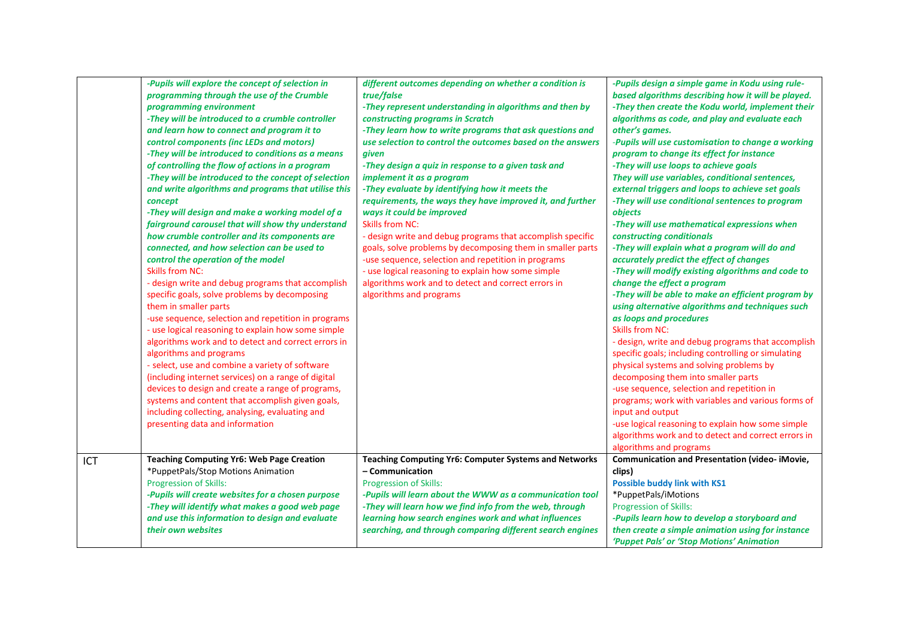|     | -Pupils will explore the concept of selection in<br>programming through the use of the Crumble<br>programming environment<br>-They will be introduced to a crumble controller<br>and learn how to connect and program it to<br>control components (inc LEDs and motors)<br>-They will be introduced to conditions as a means<br>of controlling the flow of actions in a program<br>-They will be introduced to the concept of selection<br>and write algorithms and programs that utilise this<br>concept<br>-They will design and make a working model of a<br>fairground carousel that will show thy understand<br>how crumble controller and its components are<br>connected, and how selection can be used to<br>control the operation of the model<br><b>Skills from NC:</b><br>- design write and debug programs that accomplish<br>specific goals, solve problems by decomposing<br>them in smaller parts<br>-use sequence, selection and repetition in programs<br>- use logical reasoning to explain how some simple<br>algorithms work and to detect and correct errors in<br>algorithms and programs<br>- select, use and combine a variety of software<br>(including internet services) on a range of digital<br>devices to design and create a range of programs,<br>systems and content that accomplish given goals,<br>including collecting, analysing, evaluating and<br>presenting data and information | different outcomes depending on whether a condition is<br>true/false<br>-They represent understanding in algorithms and then by<br>constructing programs in Scratch<br>-They learn how to write programs that ask questions and<br>use selection to control the outcomes based on the answers<br>given<br>-They design a quiz in response to a given task and<br>implement it as a program<br>-They evaluate by identifying how it meets the<br>requirements, the ways they have improved it, and further<br>ways it could be improved<br><b>Skills from NC:</b><br>- design write and debug programs that accomplish specific<br>goals, solve problems by decomposing them in smaller parts<br>-use sequence, selection and repetition in programs<br>- use logical reasoning to explain how some simple<br>algorithms work and to detect and correct errors in<br>algorithms and programs | -Pupils design a simple game in Kodu using rule-<br>based algorithms describing how it will be played.<br>-They then create the Kodu world, implement their<br>algorithms as code, and play and evaluate each<br>other's games.<br>-Pupils will use customisation to change a working<br>program to change its effect for instance<br>-They will use loops to achieve goals<br>They will use variables, conditional sentences,<br>external triggers and loops to achieve set goals<br>-They will use conditional sentences to program<br>objects<br>-They will use mathematical expressions when<br>constructing conditionals<br>-They will explain what a program will do and<br>accurately predict the effect of changes<br>-They will modify existing algorithms and code to<br>change the effect a program<br>-They will be able to make an efficient program by<br>using alternative algorithms and techniques such<br>as loops and procedures<br><b>Skills from NC:</b><br>- design, write and debug programs that accomplish<br>specific goals; including controlling or simulating<br>physical systems and solving problems by<br>decomposing them into smaller parts<br>-use sequence, selection and repetition in<br>programs; work with variables and various forms of<br>input and output<br>-use logical reasoning to explain how some simple<br>algorithms work and to detect and correct errors in |
|-----|--------------------------------------------------------------------------------------------------------------------------------------------------------------------------------------------------------------------------------------------------------------------------------------------------------------------------------------------------------------------------------------------------------------------------------------------------------------------------------------------------------------------------------------------------------------------------------------------------------------------------------------------------------------------------------------------------------------------------------------------------------------------------------------------------------------------------------------------------------------------------------------------------------------------------------------------------------------------------------------------------------------------------------------------------------------------------------------------------------------------------------------------------------------------------------------------------------------------------------------------------------------------------------------------------------------------------------------------------------------------------------------------------------------------------|---------------------------------------------------------------------------------------------------------------------------------------------------------------------------------------------------------------------------------------------------------------------------------------------------------------------------------------------------------------------------------------------------------------------------------------------------------------------------------------------------------------------------------------------------------------------------------------------------------------------------------------------------------------------------------------------------------------------------------------------------------------------------------------------------------------------------------------------------------------------------------------------|-------------------------------------------------------------------------------------------------------------------------------------------------------------------------------------------------------------------------------------------------------------------------------------------------------------------------------------------------------------------------------------------------------------------------------------------------------------------------------------------------------------------------------------------------------------------------------------------------------------------------------------------------------------------------------------------------------------------------------------------------------------------------------------------------------------------------------------------------------------------------------------------------------------------------------------------------------------------------------------------------------------------------------------------------------------------------------------------------------------------------------------------------------------------------------------------------------------------------------------------------------------------------------------------------------------------------------------------------------------------------------------------------------------------|
| ICT | <b>Teaching Computing Yr6: Web Page Creation</b>                                                                                                                                                                                                                                                                                                                                                                                                                                                                                                                                                                                                                                                                                                                                                                                                                                                                                                                                                                                                                                                                                                                                                                                                                                                                                                                                                                         | Teaching Computing Yr6: Computer Systems and Networks                                                                                                                                                                                                                                                                                                                                                                                                                                                                                                                                                                                                                                                                                                                                                                                                                                       | algorithms and programs<br>Communication and Presentation (video- iMovie,                                                                                                                                                                                                                                                                                                                                                                                                                                                                                                                                                                                                                                                                                                                                                                                                                                                                                                                                                                                                                                                                                                                                                                                                                                                                                                                                         |
|     | *PuppetPals/Stop Motions Animation<br>Progression of Skills:<br>-Pupils will create websites for a chosen purpose<br>-They will identify what makes a good web page<br>and use this information to design and evaluate<br>their own websites                                                                                                                                                                                                                                                                                                                                                                                                                                                                                                                                                                                                                                                                                                                                                                                                                                                                                                                                                                                                                                                                                                                                                                             | - Communication<br><b>Progression of Skills:</b><br>-Pupils will learn about the WWW as a communication tool<br>-They will learn how we find info from the web, through<br>learning how search engines work and what influences<br>searching, and through comparing different search engines                                                                                                                                                                                                                                                                                                                                                                                                                                                                                                                                                                                                | clips)<br><b>Possible buddy link with KS1</b><br>*PuppetPals/iMotions<br>Progression of Skills:<br>-Pupils learn how to develop a storyboard and<br>then create a simple animation using for instance<br>'Puppet Pals' or 'Stop Motions' Animation                                                                                                                                                                                                                                                                                                                                                                                                                                                                                                                                                                                                                                                                                                                                                                                                                                                                                                                                                                                                                                                                                                                                                                |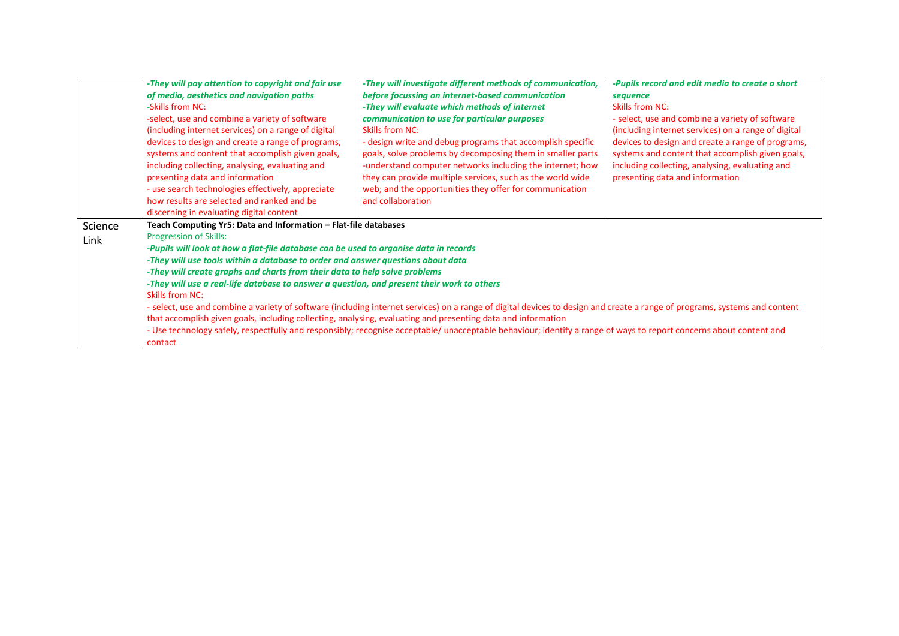|                 | -They will pay attention to copyright and fair use<br>of media, aesthetics and navigation paths<br>-Skills from NC:<br>-select, use and combine a variety of software<br>(including internet services) on a range of digital<br>devices to design and create a range of programs,<br>systems and content that accomplish given goals,<br>including collecting, analysing, evaluating and<br>presenting data and information<br>- use search technologies effectively, appreciate<br>how results are selected and ranked and be     | -They will investigate different methods of communication,<br>before focussing on internet-based communication<br>-They will evaluate which methods of internet<br>communication to use for particular purposes<br><b>Skills from NC:</b><br>- design write and debug programs that accomplish specific<br>goals, solve problems by decomposing them in smaller parts<br>-understand computer networks including the internet; how<br>they can provide multiple services, such as the world wide<br>web; and the opportunities they offer for communication<br>and collaboration | -Pupils record and edit media to create a short<br>sequence<br>Skills from NC:<br>- select, use and combine a variety of software<br>(including internet services) on a range of digital<br>devices to design and create a range of programs,<br>systems and content that accomplish given goals,<br>including collecting, analysing, evaluating and<br>presenting data and information |
|-----------------|------------------------------------------------------------------------------------------------------------------------------------------------------------------------------------------------------------------------------------------------------------------------------------------------------------------------------------------------------------------------------------------------------------------------------------------------------------------------------------------------------------------------------------|----------------------------------------------------------------------------------------------------------------------------------------------------------------------------------------------------------------------------------------------------------------------------------------------------------------------------------------------------------------------------------------------------------------------------------------------------------------------------------------------------------------------------------------------------------------------------------|-----------------------------------------------------------------------------------------------------------------------------------------------------------------------------------------------------------------------------------------------------------------------------------------------------------------------------------------------------------------------------------------|
| Science<br>Link | discerning in evaluating digital content<br>Teach Computing Yr5: Data and Information - Flat-file databases<br><b>Progression of Skills:</b><br>-Pupils will look at how a flat-file database can be used to organise data in records<br>-They will use tools within a database to order and answer questions about data<br>-They will create graphs and charts from their data to help solve problems<br>-They will use a real-life database to answer a question, and present their work to others<br>Skills from NC:<br>contact | - select, use and combine a variety of software (including internet services) on a range of digital devices to design and create a range of programs, systems and content<br>that accomplish given goals, including collecting, analysing, evaluating and presenting data and information<br>- Use technology safely, respectfully and responsibly; recognise acceptable/ unacceptable behaviour; identify a range of ways to report concerns about content and                                                                                                                  |                                                                                                                                                                                                                                                                                                                                                                                         |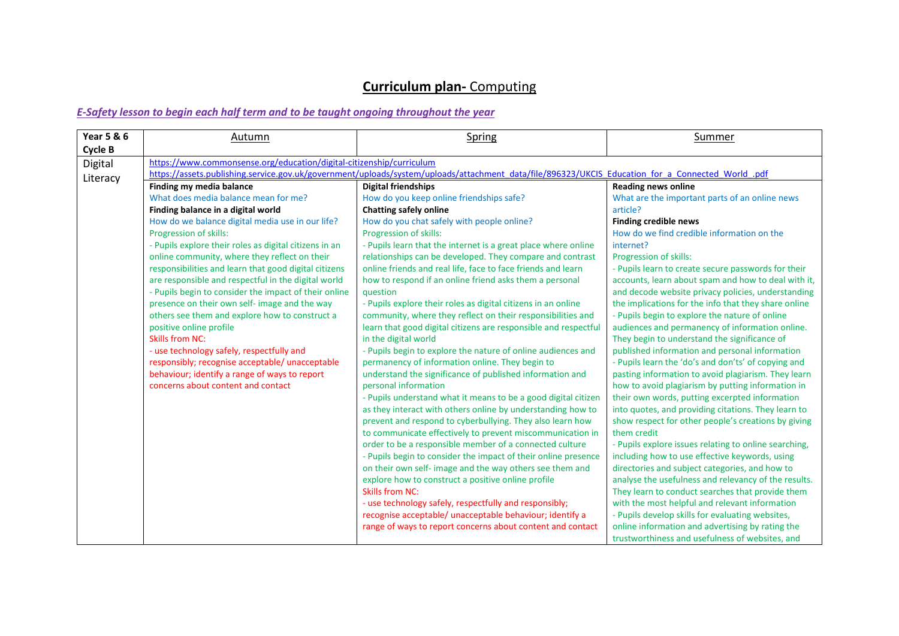| <b>Year 5 &amp; 6</b><br>Cycle B | Autumn                                                                                                                                                                                                                                                                                                                                                                                                                                                                                                                                                                                                                                                                                                                                                                                                                  | Spring                                                                                                                                                                                                                                                                                                                                                                                                                                                                                                                                                                                                                                                                                                                                                                                                                                                                                                                                                                                                                                                                                                                                                                                                                                                                                                                                                                                                                                                                                                                                                                                                          | Summer                                                                                                                                                                                                                                                                                                                                                                                                                                                                                                                                                                                                                                                                                                                                                                                                                                                                                                                                                                                                                                                                                                                                                                                                                                                                                                                                                                                                                                                                                   |  |
|----------------------------------|-------------------------------------------------------------------------------------------------------------------------------------------------------------------------------------------------------------------------------------------------------------------------------------------------------------------------------------------------------------------------------------------------------------------------------------------------------------------------------------------------------------------------------------------------------------------------------------------------------------------------------------------------------------------------------------------------------------------------------------------------------------------------------------------------------------------------|-----------------------------------------------------------------------------------------------------------------------------------------------------------------------------------------------------------------------------------------------------------------------------------------------------------------------------------------------------------------------------------------------------------------------------------------------------------------------------------------------------------------------------------------------------------------------------------------------------------------------------------------------------------------------------------------------------------------------------------------------------------------------------------------------------------------------------------------------------------------------------------------------------------------------------------------------------------------------------------------------------------------------------------------------------------------------------------------------------------------------------------------------------------------------------------------------------------------------------------------------------------------------------------------------------------------------------------------------------------------------------------------------------------------------------------------------------------------------------------------------------------------------------------------------------------------------------------------------------------------|------------------------------------------------------------------------------------------------------------------------------------------------------------------------------------------------------------------------------------------------------------------------------------------------------------------------------------------------------------------------------------------------------------------------------------------------------------------------------------------------------------------------------------------------------------------------------------------------------------------------------------------------------------------------------------------------------------------------------------------------------------------------------------------------------------------------------------------------------------------------------------------------------------------------------------------------------------------------------------------------------------------------------------------------------------------------------------------------------------------------------------------------------------------------------------------------------------------------------------------------------------------------------------------------------------------------------------------------------------------------------------------------------------------------------------------------------------------------------------------|--|
| Digital                          |                                                                                                                                                                                                                                                                                                                                                                                                                                                                                                                                                                                                                                                                                                                                                                                                                         | https://www.commonsense.org/education/digital-citizenship/curriculum<br>https://assets.publishing.service.gov.uk/government/uploads/system/uploads/attachment_data/file/896323/UKCIS_Education_for_a_Connected_World_.pdf                                                                                                                                                                                                                                                                                                                                                                                                                                                                                                                                                                                                                                                                                                                                                                                                                                                                                                                                                                                                                                                                                                                                                                                                                                                                                                                                                                                       |                                                                                                                                                                                                                                                                                                                                                                                                                                                                                                                                                                                                                                                                                                                                                                                                                                                                                                                                                                                                                                                                                                                                                                                                                                                                                                                                                                                                                                                                                          |  |
| Literacy                         | Finding my media balance<br>What does media balance mean for me?<br>Finding balance in a digital world<br>How do we balance digital media use in our life?<br>Progression of skills:<br>- Pupils explore their roles as digital citizens in an<br>online community, where they reflect on their<br>responsibilities and learn that good digital citizens<br>are responsible and respectful in the digital world<br>- Pupils begin to consider the impact of their online<br>presence on their own self- image and the way<br>others see them and explore how to construct a<br>positive online profile<br><b>Skills from NC:</b><br>- use technology safely, respectfully and<br>responsibly; recognise acceptable/ unacceptable<br>behaviour; identify a range of ways to report<br>concerns about content and contact | <b>Digital friendships</b><br>How do you keep online friendships safe?<br><b>Chatting safely online</b><br>How do you chat safely with people online?<br>Progression of skills:<br>- Pupils learn that the internet is a great place where online<br>relationships can be developed. They compare and contrast<br>online friends and real life, face to face friends and learn<br>how to respond if an online friend asks them a personal<br>question<br>- Pupils explore their roles as digital citizens in an online<br>community, where they reflect on their responsibilities and<br>learn that good digital citizens are responsible and respectful<br>in the digital world<br>- Pupils begin to explore the nature of online audiences and<br>permanency of information online. They begin to<br>understand the significance of published information and<br>personal information<br>- Pupils understand what it means to be a good digital citizen<br>as they interact with others online by understanding how to<br>prevent and respond to cyberbullying. They also learn how<br>to communicate effectively to prevent miscommunication in<br>order to be a responsible member of a connected culture<br>- Pupils begin to consider the impact of their online presence<br>on their own self- image and the way others see them and<br>explore how to construct a positive online profile<br><b>Skills from NC:</b><br>- use technology safely, respectfully and responsibly;<br>recognise acceptable/ unacceptable behaviour; identify a<br>range of ways to report concerns about content and contact | <b>Reading news online</b><br>What are the important parts of an online news<br>article?<br><b>Finding credible news</b><br>How do we find credible information on the<br>internet?<br>Progression of skills:<br>- Pupils learn to create secure passwords for their<br>accounts, learn about spam and how to deal with it,<br>and decode website privacy policies, understanding<br>the implications for the info that they share online<br>- Pupils begin to explore the nature of online<br>audiences and permanency of information online.<br>They begin to understand the significance of<br>published information and personal information<br>- Pupils learn the 'do's and don'ts' of copying and<br>pasting information to avoid plagiarism. They learn<br>how to avoid plagiarism by putting information in<br>their own words, putting excerpted information<br>into quotes, and providing citations. They learn to<br>show respect for other people's creations by giving<br>them credit<br>- Pupils explore issues relating to online searching,<br>including how to use effective keywords, using<br>directories and subject categories, and how to<br>analyse the usefulness and relevancy of the results.<br>They learn to conduct searches that provide them<br>with the most helpful and relevant information<br>- Pupils develop skills for evaluating websites,<br>online information and advertising by rating the<br>trustworthiness and usefulness of websites, and |  |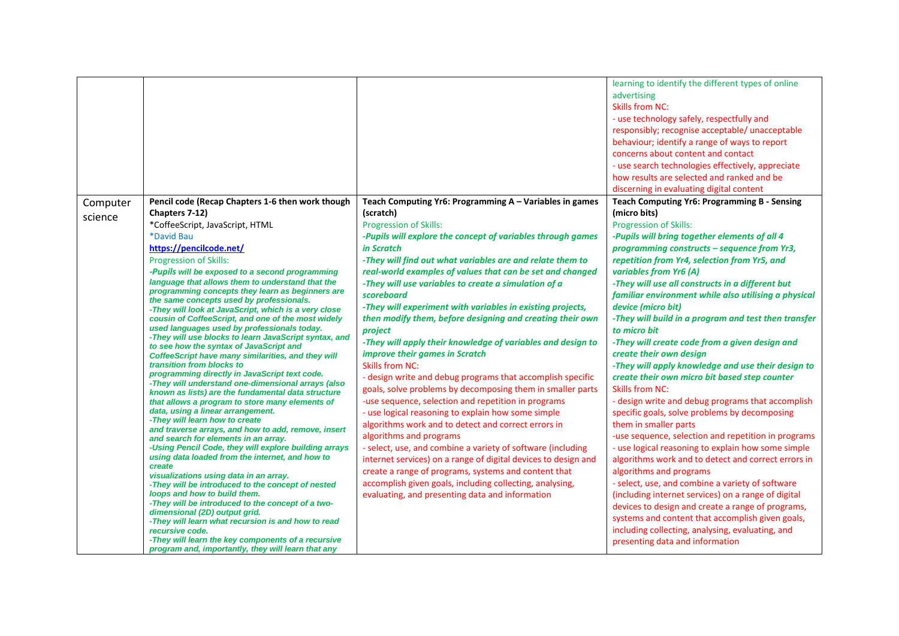|          |                                                                                                     |                                                                                                           | learning to identify the different types of online<br>advertising<br><b>Skills from NC:</b><br>- use technology safely, respectfully and<br>responsibly; recognise acceptable/ unacceptable<br>behaviour; identify a range of ways to report<br>concerns about content and contact<br>- use search technologies effectively, appreciate<br>how results are selected and ranked and be<br>discerning in evaluating digital content |
|----------|-----------------------------------------------------------------------------------------------------|-----------------------------------------------------------------------------------------------------------|-----------------------------------------------------------------------------------------------------------------------------------------------------------------------------------------------------------------------------------------------------------------------------------------------------------------------------------------------------------------------------------------------------------------------------------|
| Computer | Pencil code (Recap Chapters 1-6 then work though                                                    | Teach Computing Yr6: Programming A - Variables in games                                                   | <b>Teach Computing Yr6: Programming B - Sensing</b>                                                                                                                                                                                                                                                                                                                                                                               |
| science  | Chapters 7-12)                                                                                      | (scratch)                                                                                                 | (micro bits)                                                                                                                                                                                                                                                                                                                                                                                                                      |
|          | *CoffeeScript, JavaScript, HTML                                                                     | <b>Progression of Skills:</b>                                                                             | Progression of Skills:                                                                                                                                                                                                                                                                                                                                                                                                            |
|          | *David Bau                                                                                          | -Pupils will explore the concept of variables through games                                               | -Pupils will bring together elements of all 4                                                                                                                                                                                                                                                                                                                                                                                     |
|          | https://pencilcode.net/                                                                             | in Scratch                                                                                                | programming constructs - sequence from Yr3,                                                                                                                                                                                                                                                                                                                                                                                       |
|          | <b>Progression of Skills:</b>                                                                       | -They will find out what variables are and relate them to                                                 | repetition from Yr4, selection from Yr5, and                                                                                                                                                                                                                                                                                                                                                                                      |
|          | -Pupils will be exposed to a second programming<br>language that allows them to understand that the | real-world examples of values that can be set and changed                                                 | variables from Yr6 (A)                                                                                                                                                                                                                                                                                                                                                                                                            |
|          | programming concepts they learn as beginners are                                                    | -They will use variables to create a simulation of a<br>scoreboard                                        | -They will use all constructs in a different but                                                                                                                                                                                                                                                                                                                                                                                  |
|          | the same concepts used by professionals.                                                            |                                                                                                           | familiar environment while also utilising a physical                                                                                                                                                                                                                                                                                                                                                                              |
|          | -They will look at JavaScript, which is a very close                                                | -They will experiment with variables in existing projects,                                                | device (micro bit)                                                                                                                                                                                                                                                                                                                                                                                                                |
|          | cousin of CoffeeScript, and one of the most widely<br>used languages used by professionals today.   | then modify them, before designing and creating their own                                                 | -They will build in a program and test then transfer                                                                                                                                                                                                                                                                                                                                                                              |
|          | -They will use blocks to learn JavaScript syntax, and                                               | project                                                                                                   | to micro bit                                                                                                                                                                                                                                                                                                                                                                                                                      |
|          | to see how the syntax of JavaScript and                                                             | -They will apply their knowledge of variables and design to                                               | -They will create code from a given design and                                                                                                                                                                                                                                                                                                                                                                                    |
|          | CoffeeScript have many similarities, and they will<br>transition from blocks to                     | improve their games in Scratch<br><b>Skills from NC:</b>                                                  | create their own design<br>-They will apply knowledge and use their design to                                                                                                                                                                                                                                                                                                                                                     |
|          | programming directly in JavaScript text code.                                                       |                                                                                                           |                                                                                                                                                                                                                                                                                                                                                                                                                                   |
|          | -They will understand one-dimensional arrays (also                                                  | - design write and debug programs that accomplish specific                                                | create their own micro bit based step counter<br><b>Skills from NC:</b>                                                                                                                                                                                                                                                                                                                                                           |
|          | known as lists) are the fundamental data structure                                                  | goals, solve problems by decomposing them in smaller parts                                                | - design write and debug programs that accomplish                                                                                                                                                                                                                                                                                                                                                                                 |
|          | that allows a program to store many elements of<br>data, using a linear arrangement.                | -use sequence, selection and repetition in programs<br>- use logical reasoning to explain how some simple | specific goals, solve problems by decomposing                                                                                                                                                                                                                                                                                                                                                                                     |
|          | -They will learn how to create                                                                      | algorithms work and to detect and correct errors in                                                       | them in smaller parts                                                                                                                                                                                                                                                                                                                                                                                                             |
|          | and traverse arrays, and how to add, remove, insert                                                 | algorithms and programs                                                                                   | -use sequence, selection and repetition in programs                                                                                                                                                                                                                                                                                                                                                                               |
|          | and search for elements in an array.<br>-Using Pencil Code, they will explore building arrays       | - select, use, and combine a variety of software (including                                               | - use logical reasoning to explain how some simple                                                                                                                                                                                                                                                                                                                                                                                |
|          | using data loaded from the internet, and how to                                                     | internet services) on a range of digital devices to design and                                            | algorithms work and to detect and correct errors in                                                                                                                                                                                                                                                                                                                                                                               |
|          | create                                                                                              | create a range of programs, systems and content that                                                      | algorithms and programs                                                                                                                                                                                                                                                                                                                                                                                                           |
|          | visualizations using data in an array.                                                              | accomplish given goals, including collecting, analysing,                                                  | - select, use, and combine a variety of software                                                                                                                                                                                                                                                                                                                                                                                  |
|          | -They will be introduced to the concept of nested<br>loops and how to build them.                   | evaluating, and presenting data and information                                                           | (including internet services) on a range of digital                                                                                                                                                                                                                                                                                                                                                                               |
|          | -They will be introduced to the concept of a two-                                                   |                                                                                                           | devices to design and create a range of programs,                                                                                                                                                                                                                                                                                                                                                                                 |
|          | dimensional (2D) output grid.                                                                       |                                                                                                           | systems and content that accomplish given goals,                                                                                                                                                                                                                                                                                                                                                                                  |
|          | -They will learn what recursion is and how to read<br>recursive code.                               |                                                                                                           | including collecting, analysing, evaluating, and                                                                                                                                                                                                                                                                                                                                                                                  |
|          | -They will learn the key components of a recursive                                                  |                                                                                                           | presenting data and information                                                                                                                                                                                                                                                                                                                                                                                                   |
|          | program and, importantly, they will learn that any                                                  |                                                                                                           |                                                                                                                                                                                                                                                                                                                                                                                                                                   |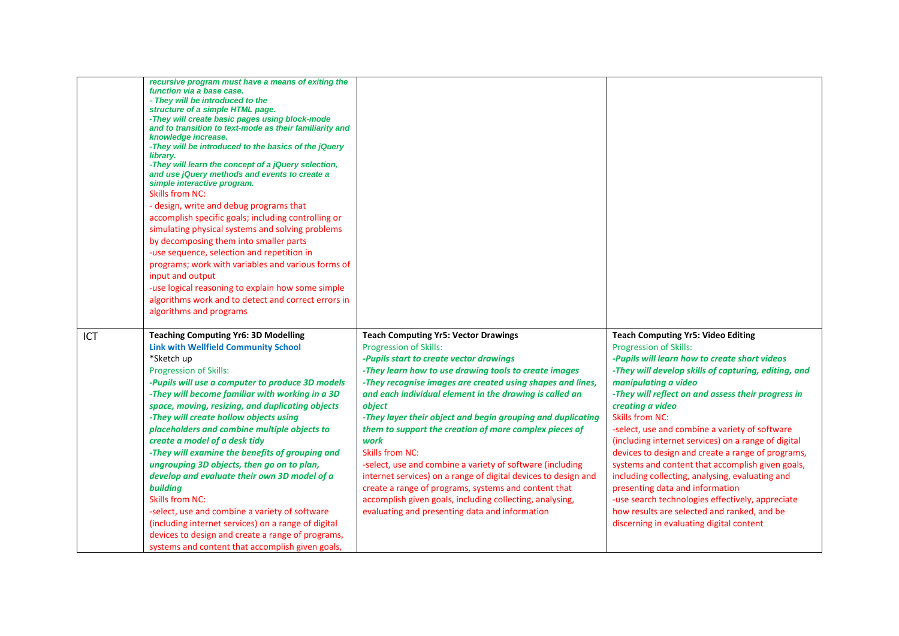|            | recursive program must have a means of exiting the<br>function via a base case.<br>- They will be introduced to the<br>structure of a simple HTML page.<br>-They will create basic pages using block-mode<br>and to transition to text-mode as their familiarity and<br>knowledge increase.<br>-They will be introduced to the basics of the jQuery<br>library.<br>-They will learn the concept of a jQuery selection,<br>and use jQuery methods and events to create a<br>simple interactive program.<br><b>Skills from NC:</b><br>- design, write and debug programs that<br>accomplish specific goals; including controlling or<br>simulating physical systems and solving problems<br>by decomposing them into smaller parts<br>-use sequence, selection and repetition in<br>programs; work with variables and various forms of<br>input and output<br>-use logical reasoning to explain how some simple<br>algorithms work and to detect and correct errors in |                                                                                                                                                                                                                                                                                                                                                                                                                                                                                                                                                                                                                                                                                                                                                                                     |                                                                                                                                                                                                                                                                                                                                                                                                                                                                                                                                                                                                                                                                                                                                                                        |
|------------|----------------------------------------------------------------------------------------------------------------------------------------------------------------------------------------------------------------------------------------------------------------------------------------------------------------------------------------------------------------------------------------------------------------------------------------------------------------------------------------------------------------------------------------------------------------------------------------------------------------------------------------------------------------------------------------------------------------------------------------------------------------------------------------------------------------------------------------------------------------------------------------------------------------------------------------------------------------------|-------------------------------------------------------------------------------------------------------------------------------------------------------------------------------------------------------------------------------------------------------------------------------------------------------------------------------------------------------------------------------------------------------------------------------------------------------------------------------------------------------------------------------------------------------------------------------------------------------------------------------------------------------------------------------------------------------------------------------------------------------------------------------------|------------------------------------------------------------------------------------------------------------------------------------------------------------------------------------------------------------------------------------------------------------------------------------------------------------------------------------------------------------------------------------------------------------------------------------------------------------------------------------------------------------------------------------------------------------------------------------------------------------------------------------------------------------------------------------------------------------------------------------------------------------------------|
|            | algorithms and programs                                                                                                                                                                                                                                                                                                                                                                                                                                                                                                                                                                                                                                                                                                                                                                                                                                                                                                                                              |                                                                                                                                                                                                                                                                                                                                                                                                                                                                                                                                                                                                                                                                                                                                                                                     |                                                                                                                                                                                                                                                                                                                                                                                                                                                                                                                                                                                                                                                                                                                                                                        |
| <b>ICT</b> | <b>Teaching Computing Yr6: 3D Modelling</b><br><b>Link with Wellfield Community School</b><br>*Sketch up<br><b>Progression of Skills:</b><br>-Pupils will use a computer to produce 3D models<br>-They will become familiar with working in a 3D<br>space, moving, resizing, and duplicating objects<br>-They will create hollow objects using<br>placeholders and combine multiple objects to<br>create a model of a desk tidy<br>-They will examine the benefits of grouping and<br>ungrouping 3D objects, then go on to plan,<br>develop and evaluate their own 3D model of a<br>building<br><b>Skills from NC:</b><br>-select, use and combine a variety of software<br>(including internet services) on a range of digital<br>devices to design and create a range of programs,<br>systems and content that accomplish given goals,                                                                                                                             | <b>Teach Computing Yr5: Vector Drawings</b><br><b>Progression of Skills:</b><br>-Pupils start to create vector drawings<br>-They learn how to use drawing tools to create images<br>-They recognise images are created using shapes and lines,<br>and each individual element in the drawing is called an<br>object<br>-They layer their object and begin grouping and duplicating<br>them to support the creation of more complex pieces of<br>work<br><b>Skills from NC:</b><br>-select, use and combine a variety of software (including<br>internet services) on a range of digital devices to design and<br>create a range of programs, systems and content that<br>accomplish given goals, including collecting, analysing,<br>evaluating and presenting data and information | <b>Teach Computing Yr5: Video Editing</b><br><b>Progression of Skills:</b><br>-Pupils will learn how to create short videos<br>-They will develop skills of capturing, editing, and<br>manipulating a video<br>-They will reflect on and assess their progress in<br>creating a video<br><b>Skills from NC:</b><br>-select, use and combine a variety of software<br>(including internet services) on a range of digital<br>devices to design and create a range of programs,<br>systems and content that accomplish given goals,<br>including collecting, analysing, evaluating and<br>presenting data and information<br>-use search technologies effectively, appreciate<br>how results are selected and ranked, and be<br>discerning in evaluating digital content |